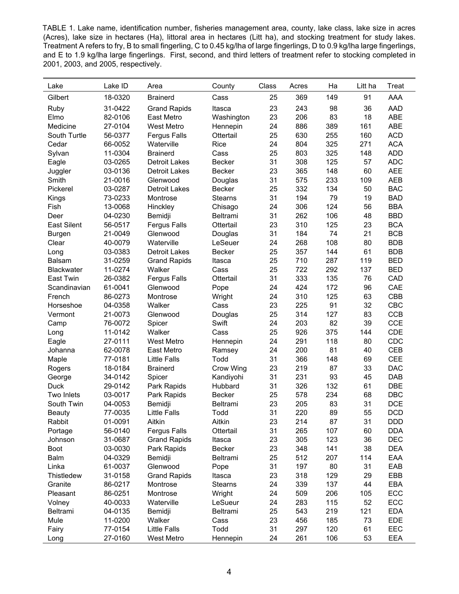TABLE 1. Lake name, identification number, fisheries management area, county, lake class, lake size in acres (Acres), lake size in hectares (Ha), littoral area in hectares (Litt ha), and stocking treatment for study lakes. Treatment A refers to fry, B to small fingerling, C to 0.45 kg/lha of large fingerlings, D to 0.9 kg/lha large fingerlings, and E to 1.9 kg/lha large fingerlings. First, second, and third letters of treatment refer to stocking completed in 2001, 2003, and 2005, respectively.

| Lake               | Lake ID            | Area                 | County            | Class    | Acres | Ha         | Litt ha   | Treat      |
|--------------------|--------------------|----------------------|-------------------|----------|-------|------------|-----------|------------|
| Gilbert            | 18-0320            | <b>Brainerd</b>      | Cass              | 25       | 369   | 149        | 91        | AAA        |
| Ruby               | 31-0422            | <b>Grand Rapids</b>  | Itasca            | 23       | 243   | 98         | 36        | AAD        |
| Elmo               | 82-0106            | East Metro           | Washington        | 23       | 206   | 83         | 18        | ABE        |
| Medicine           | 27-0104            | West Metro           | Hennepin          | 24       | 886   | 389        | 161       | ABE        |
| South Turtle       | 56-0377            | <b>Fergus Falls</b>  | Ottertail         | 25       | 630   | 255        | 160       | <b>ACD</b> |
| Cedar              | 66-0052            | Waterville           | Rice              | 24       | 804   | 325        | 271       | <b>ACA</b> |
| Sylvan             | 11-0304            | <b>Brainerd</b>      | Cass              | 25       | 803   | 325        | 148       | <b>ADD</b> |
| Eagle              | 03-0265            | <b>Detroit Lakes</b> | Becker            | 31       | 308   | 125        | 57        | <b>ADC</b> |
| Juggler            | 03-0136            | <b>Detroit Lakes</b> | Becker            | 23       | 365   | 148        | 60        | <b>AEE</b> |
| Smith              | 21-0016            | Glenwood             | Douglas           | 31       | 575   | 233        | 109       | <b>AEB</b> |
| Pickerel           | 03-0287            | <b>Detroit Lakes</b> | <b>Becker</b>     | 25       | 332   | 134        | 50        | <b>BAC</b> |
| Kings              | 73-0233            | Montrose             | <b>Stearns</b>    | 31       | 194   | 79         | 19        | <b>BAD</b> |
| Fish               | 13-0068            | Hinckley             | Chisago           | 24       | 306   | 124        | 56        | <b>BBA</b> |
| Deer               | 04-0230            | Bemidji              | Beltrami          | 31       | 262   | 106        | 48        | <b>BBD</b> |
| <b>East Silent</b> | 56-0517            | <b>Fergus Falls</b>  | Ottertail         | 23       | 310   | 125        | 23        | <b>BCA</b> |
| Burgen             | 21-0049            | Glenwood             | Douglas           | 31       | 184   | 74         | 21        | <b>BCB</b> |
| Clear              | 40-0079            | Waterville           | LeSeuer           | 24       | 268   | 108        | 80        | <b>BDB</b> |
| Long               | 03-0383            | <b>Detroit Lakes</b> | <b>Becker</b>     | 25       | 357   | 144        | 61        | <b>BDB</b> |
| Balsam             | 31-0259            | <b>Grand Rapids</b>  | Itasca            | 25       | 710   | 287        | 119       | <b>BED</b> |
| <b>Blackwater</b>  | 11-0274            | Walker               | Cass              | 25       | 722   | 292        | 137       | <b>BED</b> |
| East Twin          | 26-0382            | <b>Fergus Falls</b>  | Ottertail         | 31       | 333   | 135        | 76        | CAD        |
| Scandinavian       | 61-0041            | Glenwood             | Pope              | 24       | 424   | 172        | 96        | CAE        |
| French             | 86-0273            | Montrose             | Wright            | 24       | 310   | 125        | 63        | CBB        |
| Horseshoe          | 04-0358            | Walker               | Cass              | 23       | 225   | 91         | 32        | CBC        |
| Vermont            | 21-0073            | Glenwood             | Douglas           | 25       | 314   | 127        | 83        | <b>CCB</b> |
| Camp               | 76-0072            | Spicer               | Swift             | 24       | 203   | 82         | 39        | <b>CCE</b> |
| Long               | 11-0142            | Walker               | Cass              | 25       | 926   | 375        | 144       | <b>CDE</b> |
| Eagle              | 27-0111            | West Metro           | Hennepin          | 24       | 291   | 118        | 80        | <b>CDC</b> |
| Johanna            | 62-0078            | East Metro           | Ramsey            | 24       | 200   | 81         | 40        | <b>CEB</b> |
| Maple              | 77-0181            | <b>Little Falls</b>  | Todd              | 31       | 366   | 148        | 69        | <b>CEE</b> |
| Rogers             | 18-0184            | <b>Brainerd</b>      | Crow Wing         | 23       | 219   | 87         | 33        | <b>DAC</b> |
| George             | 34-0142            | Spicer               | Kandiyohi         | 31       | 231   | 93         | 45        | <b>DAB</b> |
| <b>Duck</b>        | 29-0142            | Park Rapids          | Hubbard           | 31       | 326   | 132        | 61        | <b>DBE</b> |
| Two Inlets         | 03-0017            | Park Rapids          | <b>Becker</b>     | 25       | 578   | 234        | 68        | <b>DBC</b> |
| South Twin         | 04-0053            | Bemidji              | Beltrami          | 23       | 205   | 83         | 31        | <b>DCE</b> |
| <b>Beauty</b>      | 77-0035            | <b>Little Falls</b>  | Todd              | 31       | 220   | 89         | 55        | <b>DCD</b> |
| Rabbit             | 01-0091            | Aitkin               | Aitkin            | 23       | 214   | 87         | 31        | <b>DDD</b> |
| Portage            | 56-0140            | <b>Fergus Falls</b>  | Ottertail         | 31       | 265   | 107        | 60        | <b>DDA</b> |
| Johnson            | 31-0687            | <b>Grand Rapids</b>  | Itasca            | 23       | 305   | 123        | 36        | DEC        |
| Boot               | 03-0030            | Park Rapids          | <b>Becker</b>     | 23       | 348   | 141        | 38        | <b>DEA</b> |
| Balm               | 04-0329            | Bemidji              | Beltrami          | 25       | 512   | 207        | 114       | EAA        |
| Linka              | 61-0037            | Glenwood             | Pope              | 31       | 197   | 80         | 31        | EAB        |
| Thistledew         | 31-0158            | <b>Grand Rapids</b>  | Itasca            | 23       | 318   | 129        | 29        | EBB        |
| Granite            | 86-0217            |                      | <b>Stearns</b>    | 24       | 339   | 137        | 44        | EBA        |
|                    |                    | Montrose<br>Montrose |                   |          | 509   |            |           | ECC        |
| Pleasant           | 86-0251<br>40-0033 | Waterville           | Wright<br>LeSueur | 24<br>24 | 283   | 206<br>115 | 105<br>52 | ECC        |
| Volney             |                    |                      |                   |          |       |            |           |            |
| Beltrami           | 04-0135            | Bemidji              | Beltrami          | 25       | 543   | 219        | 121       | <b>EDA</b> |
| Mule               | 11-0200            | Walker               | Cass              | 23       | 456   | 185        | 73        | EDE        |
| Fairy              | 77-0154            | <b>Little Falls</b>  | Todd              | 31       | 297   | 120        | 61        | EEC        |
| Long               | 27-0160            | West Metro           | Hennepin          | 24       | 261   | 106        | 53        | EEA        |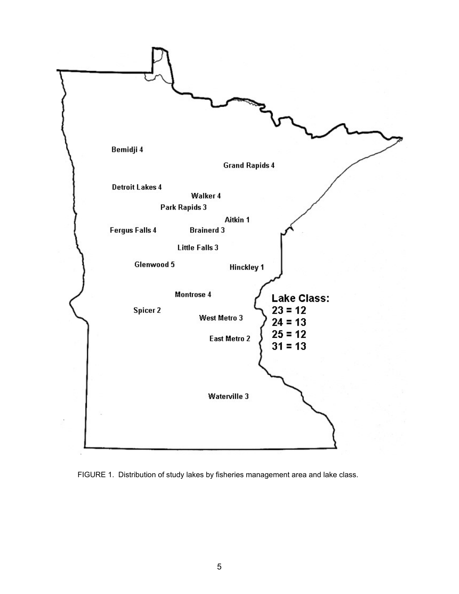

FIGURE 1. Distribution of study lakes by fisheries management area and lake class.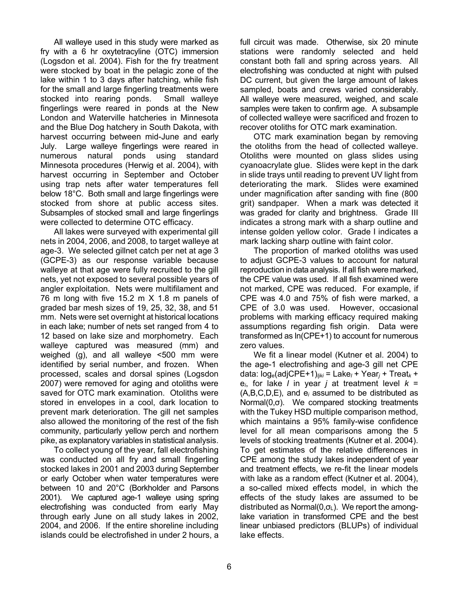All walleye used in this study were marked as fry with a 6 hr oxytetracyline (OTC) immersion (Logsdon et al. 2004). Fish for the fry treatment were stocked by boat in the pelagic zone of the lake within 1 to 3 days after hatching, while fish for the small and large fingerling treatments were stocked into rearing ponds. Small walleye fingerlings were reared in ponds at the New London and Waterville hatcheries in Minnesota and the Blue Dog hatchery in South Dakota, with harvest occurring between mid-June and early July. Large walleye fingerlings were reared in numerous natural ponds using standard Minnesota procedures (Herwig et al. 2004), with harvest occurring in September and October using trap nets after water temperatures fell below 18°C. Both small and large fingerlings were stocked from shore at public access sites. Subsamples of stocked small and large fingerlings were collected to determine OTC efficacy.

All lakes were surveyed with experimental gill nets in 2004, 2006, and 2008, to target walleye at age-3. We selected gillnet catch per net at age 3 (GCPE-3) as our response variable because walleye at that age were fully recruited to the gill nets, yet not exposed to several possible years of angler exploitation. Nets were multifilament and 76 m long with five 15.2 m X 1.8 m panels of graded bar mesh sizes of 19, 25, 32, 38, and 51 mm. Nets were set overnight at historical locations in each lake; number of nets set ranged from 4 to 12 based on lake size and morphometry. Each walleye captured was measured (mm) and weighed (g), and all walleye <500 mm were identified by serial number, and frozen. When processed, scales and dorsal spines (Logsdon 2007) were removed for aging and otoliths were saved for OTC mark examination. Otoliths were stored in envelopes in a cool, dark location to prevent mark deterioration. The gill net samples also allowed the monitoring of the rest of the fish community, particularly yellow perch and northern pike, as explanatory variables in statistical analysis.

To collect young of the year, fall electrofishing was conducted on all fry and small fingerling stocked lakes in 2001 and 2003 during September or early October when water temperatures were between 10 and 20°C (Borkholder and Parsons 2001). We captured age-1 walleye using spring electrofishing was conducted from early May through early June on all study lakes in 2002, 2004, and 2006. If the entire shoreline including islands could be electrofished in under 2 hours, a full circuit was made. Otherwise, six 20 minute stations were randomly selected and held constant both fall and spring across years. All electrofishing was conducted at night with pulsed DC current, but given the large amount of lakes sampled, boats and crews varied considerably. All walleye were measured, weighed, and scale samples were taken to confirm age. A subsample of collected walleye were sacrificed and frozen to recover otoliths for OTC mark examination.

OTC mark examination began by removing the otoliths from the head of collected walleye. Otoliths were mounted on glass slides using cyanoacrylate glue. Slides were kept in the dark in slide trays until reading to prevent UV light from deteriorating the mark. Slides were examined under magnification after sanding with fine (800 grit) sandpaper. When a mark was detected it was graded for clarity and brightness. Grade III indicates a strong mark with a sharp outline and intense golden yellow color. Grade I indicates a mark lacking sharp outline with faint color.

The proportion of marked otoliths was used to adjust GCPE-3 values to account for natural reproduction in data analysis. If all fish were marked, the CPE value was used. If all fish examined were not marked, CPE was reduced. For example, if CPE was 4.0 and 75% of fish were marked, a CPE of 3.0 was used. However, occasional problems with marking efficacy required making assumptions regarding fish origin. Data were transformed as ln(CPE+1) to account for numerous zero values.

We fit a linear model (Kutner et al. 2004) to the age-1 electrofishing and age-3 gill net CPE data: loge(adjCPE+1)*ljki* = Lake*<sup>l</sup>* + Year*<sup>j</sup>* + Treat*<sup>k</sup>* +  $e_i$ , for lake *l* in year *j* at treatment level  $k =$ (A,B,C,D,E), and e*<sup>i</sup>* assumed to be distributed as Normal(0,σ). We compared stocking treatments with the Tukey HSD multiple comparison method, which maintains a 95% family-wise confidence level for all mean comparisons among the 5 levels of stocking treatments (Kutner et al. 2004). To get estimates of the relative differences in CPE among the study lakes independent of year and treatment effects, we re-fit the linear models with lake as a random effect (Kutner et al. 2004), a so-called mixed effects model, in which the effects of the study lakes are assumed to be distributed as Normal $(0,\sigma_L)$ . We report the amonglake variation in transformed CPE and the best linear unbiased predictors (BLUPs) of individual lake effects.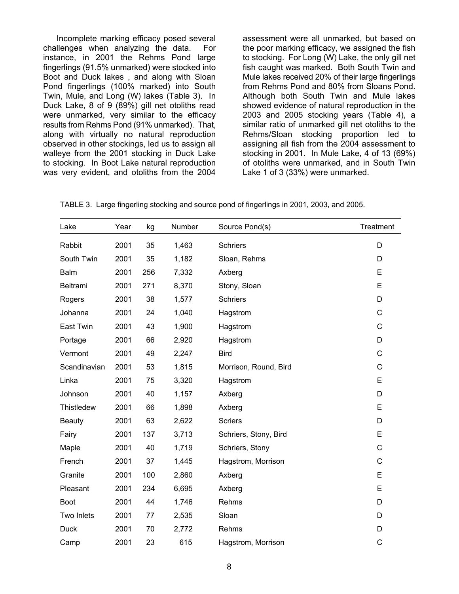Incomplete marking efficacy posed several challenges when analyzing the data. For instance, in 2001 the Rehms Pond large fingerlings (91.5% unmarked) were stocked into Boot and Duck lakes , and along with Sloan Pond fingerlings (100% marked) into South Twin, Mule, and Long (W) lakes (Table 3). In Duck Lake, 8 of 9 (89%) gill net otoliths read were unmarked, very similar to the efficacy results from Rehms Pond (91% unmarked). That, along with virtually no natural reproduction observed in other stockings, led us to assign all walleye from the 2001 stocking in Duck Lake to stocking. In Boot Lake natural reproduction was very evident, and otoliths from the 2004

assessment were all unmarked, but based on the poor marking efficacy, we assigned the fish to stocking. For Long (W) Lake, the only gill net fish caught was marked. Both South Twin and Mule lakes received 20% of their large fingerlings from Rehms Pond and 80% from Sloans Pond. Although both South Twin and Mule lakes showed evidence of natural reproduction in the 2003 and 2005 stocking years (Table 4), a similar ratio of unmarked gill net otoliths to the Rehms/Sloan stocking proportion led to assigning all fish from the 2004 assessment to stocking in 2001. In Mule Lake, 4 of 13 (69%) of otoliths were unmarked, and in South Twin Lake 1 of 3 (33%) were unmarked.

TABLE 3. Large fingerling stocking and source pond of fingerlings in 2001, 2003, and 2005.

| Lake              | Year | kg  | Number | Source Pond(s)        | Treatment   |
|-------------------|------|-----|--------|-----------------------|-------------|
| Rabbit            | 2001 | 35  | 1,463  | <b>Schriers</b>       | D           |
| South Twin        | 2001 | 35  | 1,182  | Sloan, Rehms          | D           |
| <b>Balm</b>       | 2001 | 256 | 7,332  | Axberg                | E           |
| Beltrami          | 2001 | 271 | 8,370  | Stony, Sloan          | E           |
| Rogers            | 2001 | 38  | 1,577  | <b>Schriers</b>       | D           |
| Johanna           | 2001 | 24  | 1,040  | Hagstrom              | $\mathsf C$ |
| East Twin         | 2001 | 43  | 1,900  | Hagstrom              | $\mathsf C$ |
| Portage           | 2001 | 66  | 2,920  | Hagstrom              | D           |
| Vermont           | 2001 | 49  | 2,247  | <b>Bird</b>           | C           |
| Scandinavian      | 2001 | 53  | 1,815  | Morrison, Round, Bird | C           |
| Linka             | 2001 | 75  | 3,320  | Hagstrom              | E           |
| Johnson           | 2001 | 40  | 1,157  | Axberg                | D           |
| <b>Thistledew</b> | 2001 | 66  | 1,898  | Axberg                | E           |
| <b>Beauty</b>     | 2001 | 63  | 2,622  | <b>Scriers</b>        | D           |
| Fairy             | 2001 | 137 | 3,713  | Schriers, Stony, Bird | E           |
| Maple             | 2001 | 40  | 1,719  | Schriers, Stony       | $\mathsf C$ |
| French            | 2001 | 37  | 1,445  | Hagstrom, Morrison    | C           |
| Granite           | 2001 | 100 | 2,860  | Axberg                | E           |
| Pleasant          | 2001 | 234 | 6,695  | Axberg                | E           |
| <b>Boot</b>       | 2001 | 44  | 1,746  | Rehms                 | D           |
| Two Inlets        | 2001 | 77  | 2,535  | Sloan                 | D           |
| <b>Duck</b>       | 2001 | 70  | 2,772  | Rehms                 | D           |
| Camp              | 2001 | 23  | 615    | Hagstrom, Morrison    | C           |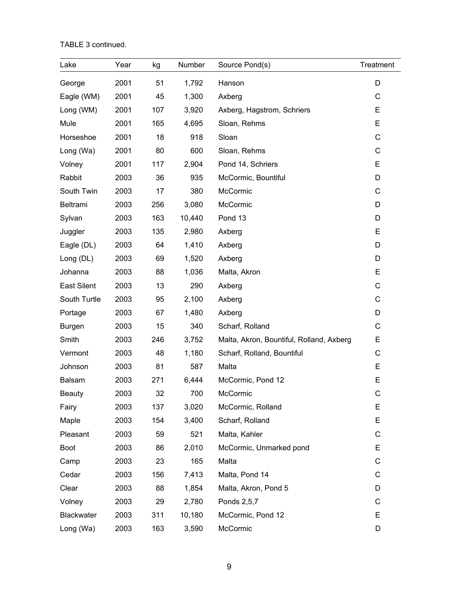TABLE 3 continued.

| Lake               | Year | kg  | Number | Source Pond(s)                           | Treatment |
|--------------------|------|-----|--------|------------------------------------------|-----------|
| George             | 2001 | 51  | 1,792  | Hanson                                   | D         |
| Eagle (WM)         | 2001 | 45  | 1,300  | Axberg                                   | C         |
| Long (WM)          | 2001 | 107 | 3,920  | Axberg, Hagstrom, Schriers               | E         |
| Mule               | 2001 | 165 | 4,695  | Sloan, Rehms                             | E         |
| Horseshoe          | 2001 | 18  | 918    | Sloan                                    | C         |
| Long (Wa)          | 2001 | 80  | 600    | Sloan, Rehms                             | C         |
| Volney             | 2001 | 117 | 2,904  | Pond 14, Schriers                        | E         |
| Rabbit             | 2003 | 36  | 935    | McCormic, Bountiful                      | D         |
| South Twin         | 2003 | 17  | 380    | McCormic                                 | C         |
| Beltrami           | 2003 | 256 | 3,080  | McCormic                                 | D         |
| Sylvan             | 2003 | 163 | 10,440 | Pond 13                                  | D         |
| Juggler            | 2003 | 135 | 2,980  | Axberg                                   | E         |
| Eagle (DL)         | 2003 | 64  | 1,410  | Axberg                                   | D         |
| Long (DL)          | 2003 | 69  | 1,520  | Axberg                                   | D         |
| Johanna            | 2003 | 88  | 1,036  | Malta, Akron                             | E         |
| <b>East Silent</b> | 2003 | 13  | 290    | Axberg                                   | C         |
| South Turtle       | 2003 | 95  | 2,100  | Axberg                                   | C         |
| Portage            | 2003 | 67  | 1,480  | Axberg                                   | D         |
| <b>Burgen</b>      | 2003 | 15  | 340    | Scharf, Rolland                          | C         |
| Smith              | 2003 | 246 | 3,752  | Malta, Akron, Bountiful, Rolland, Axberg | E         |
| Vermont            | 2003 | 48  | 1,180  | Scharf, Rolland, Bountiful               | C         |
| Johnson            | 2003 | 81  | 587    | Malta                                    | E         |
| <b>Balsam</b>      | 2003 | 271 | 6,444  | McCormic, Pond 12                        | E         |
| <b>Beauty</b>      | 2003 | 32  | 700    | McCormic                                 | С         |
| Fairy              | 2003 | 137 | 3,020  | McCormic, Rolland                        | E         |
| Maple              | 2003 | 154 | 3,400  | Scharf, Rolland                          | E         |
| Pleasant           | 2003 | 59  | 521    | Malta, Kahler                            | C         |
| Boot               | 2003 | 86  | 2,010  | McCormic, Unmarked pond                  | E         |
| Camp               | 2003 | 23  | 165    | Malta                                    | C         |
| Cedar              | 2003 | 156 | 7,413  | Malta, Pond 14                           | С         |
| Clear              | 2003 | 88  | 1,854  | Malta, Akron, Pond 5                     | D         |
| Volney             | 2003 | 29  | 2,780  | Ponds 2,5,7                              | С         |
| <b>Blackwater</b>  | 2003 | 311 | 10,180 | McCormic, Pond 12                        | E         |
| Long (Wa)          | 2003 | 163 | 3,590  | McCormic                                 | D         |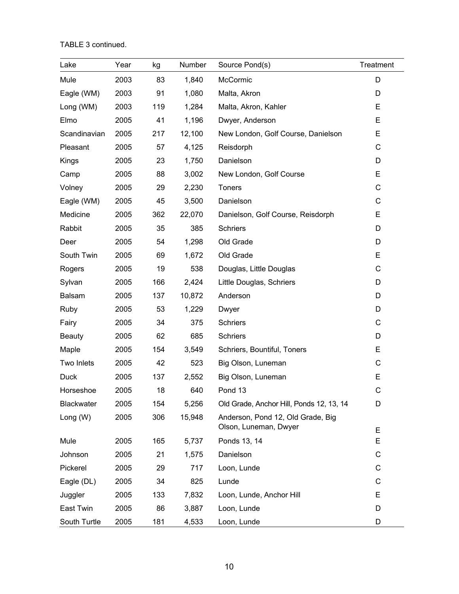TABLE 3 continued.

| Lake              | Year | kg  | Number | Source Pond(s)                                             | Treatment |
|-------------------|------|-----|--------|------------------------------------------------------------|-----------|
| Mule              | 2003 | 83  | 1,840  | McCormic                                                   | D         |
| Eagle (WM)        | 2003 | 91  | 1,080  | Malta, Akron                                               | D         |
| Long (WM)         | 2003 | 119 | 1,284  | Malta, Akron, Kahler                                       | E         |
| Elmo              | 2005 | 41  | 1,196  | Dwyer, Anderson                                            | E         |
| Scandinavian      | 2005 | 217 | 12,100 | New London, Golf Course, Danielson                         | E         |
| Pleasant          | 2005 | 57  | 4,125  | Reisdorph                                                  | С         |
| Kings             | 2005 | 23  | 1,750  | Danielson                                                  | D         |
| Camp              | 2005 | 88  | 3,002  | New London, Golf Course                                    | E         |
| Volney            | 2005 | 29  | 2,230  | <b>Toners</b>                                              | C         |
| Eagle (WM)        | 2005 | 45  | 3,500  | Danielson                                                  | C         |
| Medicine          | 2005 | 362 | 22,070 | Danielson, Golf Course, Reisdorph                          | E         |
| Rabbit            | 2005 | 35  | 385    | <b>Schriers</b>                                            | D         |
| Deer              | 2005 | 54  | 1,298  | Old Grade                                                  | D         |
| South Twin        | 2005 | 69  | 1,672  | Old Grade                                                  | E         |
| Rogers            | 2005 | 19  | 538    | Douglas, Little Douglas                                    | C         |
| Sylvan            | 2005 | 166 | 2,424  | Little Douglas, Schriers                                   | D         |
| <b>Balsam</b>     | 2005 | 137 | 10,872 | Anderson                                                   | D         |
| Ruby              | 2005 | 53  | 1,229  | Dwyer                                                      | D         |
| Fairy             | 2005 | 34  | 375    | <b>Schriers</b>                                            | С         |
| <b>Beauty</b>     | 2005 | 62  | 685    | <b>Schriers</b>                                            | D         |
| Maple             | 2005 | 154 | 3,549  | Schriers, Bountiful, Toners                                | Е         |
| Two Inlets        | 2005 | 42  | 523    | Big Olson, Luneman                                         | С         |
| Duck              | 2005 | 137 | 2,552  | Big Olson, Luneman                                         | E         |
| Horseshoe         | 2005 | 18  | 640    | Pond 13                                                    | C         |
| <b>Blackwater</b> | 2005 | 154 | 5,256  | Old Grade, Anchor Hill, Ponds 12, 13, 14                   | D         |
| Long (W)          | 2005 | 306 | 15,948 | Anderson, Pond 12, Old Grade, Big<br>Olson, Luneman, Dwyer | Е         |
| Mule              | 2005 | 165 | 5,737  | Ponds 13, 14                                               | E         |
| Johnson           | 2005 | 21  | 1,575  | Danielson                                                  | C         |
| Pickerel          | 2005 | 29  | 717    | Loon, Lunde                                                | С         |
| Eagle (DL)        | 2005 | 34  | 825    | Lunde                                                      | С         |
| Juggler           | 2005 | 133 | 7,832  | Loon, Lunde, Anchor Hill                                   | Е         |
| East Twin         | 2005 | 86  | 3,887  | Loon, Lunde                                                | D         |
| South Turtle      | 2005 | 181 | 4,533  | Loon, Lunde                                                | D         |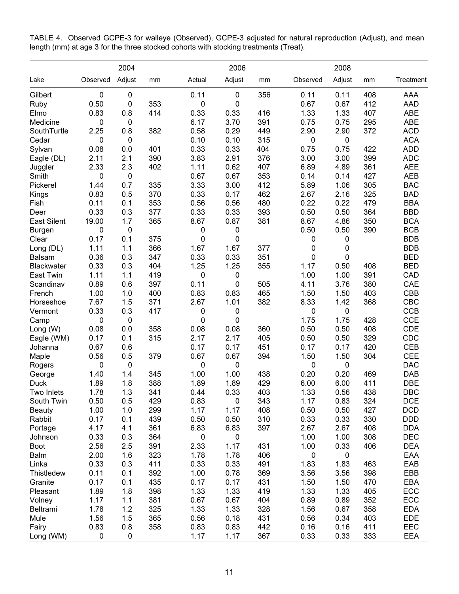|                    | 2004        |             |     |                     | 2006        |     |             | 2008      |     |            |
|--------------------|-------------|-------------|-----|---------------------|-------------|-----|-------------|-----------|-----|------------|
| Lake               | Observed    | Adjust      | mm  | Actual              | Adjust      | mm  | Observed    | Adjust    | mm  | Treatment  |
| Gilbert            | $\pmb{0}$   | 0           |     | 0.11                | $\pmb{0}$   | 356 | 0.11        | 0.11      | 408 | AAA        |
| Ruby               | 0.50        | 0           | 353 | $\pmb{0}$           | $\mathbf 0$ |     | 0.67        | 0.67      | 412 | <b>AAD</b> |
| Elmo               | 0.83        | 0.8         | 414 | 0.33                | 0.33        | 416 | 1.33        | 1.33      | 407 | ABE        |
| Medicine           | 0           | 0           |     | 6.17                | 3.70        | 391 | 0.75        | 0.75      | 295 | ABE        |
| SouthTurtle        | 2.25        | 0.8         | 382 | 0.58                | 0.29        | 449 | 2.90        | 2.90      | 372 | <b>ACD</b> |
| Cedar              | 0           | 0           |     | 0.10                | 0.10        | 315 | 0           | 0         |     | <b>ACA</b> |
| Sylvan             | 0.08        | 0.0         | 401 | 0.33                | 0.33        | 404 | 0.75        | 0.75      | 422 | <b>ADD</b> |
| Eagle (DL)         | 2.11        | 2.1         | 390 | 3.83                | 2.91        | 376 | 3.00        | 3.00      | 399 | <b>ADC</b> |
| Juggler            | 2.33        | 2.3         | 402 | 1.11                | 0.62        | 407 | 6.89        | 4.89      | 361 | <b>AEE</b> |
| Smith              | $\mathbf 0$ | 0           |     | 0.67                | 0.67        | 353 | 0.14        | 0.14      | 427 | <b>AEB</b> |
| Pickerel           | 1.44        | 0.7         | 335 | 3.33                | 3.00        | 412 | 5.89        | 1.06      | 305 | <b>BAC</b> |
| Kings              | 0.83        | 0.5         | 370 | 0.33                | 0.17        | 462 | 2.67        | 2.16      | 325 | <b>BAD</b> |
| Fish               | 0.11        | 0.1         | 353 | 0.56                | 0.56        | 480 | 0.22        | 0.22      | 479 | <b>BBA</b> |
| Deer               | 0.33        | 0.3         | 377 | 0.33                | 0.33        | 393 | 0.50        | 0.50      | 364 | <b>BBD</b> |
| <b>East Silent</b> | 19.00       | 1.7         | 365 | 8.67                | 0.87        | 381 | 8.67        | 4.86      | 350 | <b>BCA</b> |
| <b>Burgen</b>      | 0           | $\pmb{0}$   |     | 0                   | $\pmb{0}$   |     | 0.50        | 0.50      | 390 | <b>BCB</b> |
| Clear              | 0.17        | 0.1         | 375 | $\mathsf{O}\xspace$ | $\pmb{0}$   |     | 0           | 0         |     | <b>BDB</b> |
| Long (DL)          | 1.11        | 1.1         | 366 | 1.67                | 1.67        | 377 | $\pmb{0}$   | 0         |     | <b>BDB</b> |
| <b>Balsam</b>      | 0.36        | 0.3         | 347 | 0.33                | 0.33        | 351 | $\mathsf 0$ | 0         |     | <b>BED</b> |
| <b>Blackwater</b>  | 0.33        | 0.3         | 404 | 1.25                | 1.25        | 355 | 1.17        | 0.50      | 408 | <b>BED</b> |
| East Twin          | 1.11        | 1.1         | 419 | $\pmb{0}$           | $\pmb{0}$   |     | 1.00        | 1.00      | 391 | CAD        |
| Scandinav          | 0.89        | 0.6         | 397 | 0.11                | $\mathbf 0$ | 505 | 4.11        | 3.76      | 380 | CAE        |
| French             | 1.00        | 1.0         | 400 | 0.83                | 0.83        | 465 | 1.50        | 1.50      | 403 | CBB        |
| Horseshoe          | 7.67        | 1.5         | 371 | 2.67                | 1.01        | 382 | 8.33        | 1.42      | 368 | CBC        |
| Vermont            | 0.33        | 0.3         | 417 | 0                   | $\pmb{0}$   |     | 0           | 0         |     | <b>CCB</b> |
| Camp               | $\mathbf 0$ | $\mathbf 0$ |     | $\boldsymbol{0}$    | $\mathbf 0$ |     | 1.75        | 1.75      | 428 | <b>CCE</b> |
| Long (W)           | 0.08        | 0.0         | 358 | 0.08                | 0.08        | 360 | 0.50        | 0.50      | 408 | CDE        |
| Eagle (WM)         | 0.17        | 0.1         | 315 | 2.17                | 2.17        | 405 | 0.50        | 0.50      | 329 | CDC        |
| Johanna            | 0.67        | 0.6         |     | 0.17                | 0.17        | 451 | 0.17        | 0.17      | 420 | <b>CEB</b> |
| Maple              | 0.56        | 0.5         | 379 | 0.67                | 0.67        | 394 | 1.50        | 1.50      | 304 | <b>CEE</b> |
| Rogers             | $\mathbf 0$ | $\mathbf 0$ |     | $\pmb{0}$           | $\pmb{0}$   |     | 0           | $\pmb{0}$ |     | <b>DAC</b> |
| George             | 1.40        | 1.4         | 345 | 1.00                | 1.00        | 438 | 0.20        | 0.20      | 469 | <b>DAB</b> |
| <b>Duck</b>        | 1.89        | 1.8         | 388 | 1.89                | 1.89        | 429 | 6.00        | 6.00      | 411 | <b>DBE</b> |
| Two Inlets         | 1.78        | 1.3         | 341 | 0.44                | 0.33        | 403 | 1.33        | 0.56      | 438 | DBC        |
| South Twin         | 0.50        | 0.5         | 429 | 0.83                | $\pmb{0}$   | 343 | 1.17        | 0.83      | 324 | <b>DCE</b> |
| <b>Beauty</b>      | 1.00        | 1.0         | 299 | 1.17                | 1.17        | 408 | 0.50        | 0.50      | 427 | <b>DCD</b> |
| Rabbit             | 0.17        | 0.1         | 439 | 0.50                | 0.50        | 310 | 0.33        | 0.33      | 330 | <b>DDD</b> |
| Portage            | 4.17        | 4.1         | 361 | 6.83                | 6.83        | 397 | 2.67        | 2.67      | 408 | <b>DDA</b> |
| Johnson            | 0.33        | 0.3         | 364 | 0                   | $\pmb{0}$   |     | 1.00        | 1.00      | 308 | <b>DEC</b> |
| <b>Boot</b>        | 2.56        | 2.5         | 391 | 2.33                | 1.17        | 431 | 1.00        | 0.33      | 406 | <b>DEA</b> |
| <b>Balm</b>        | 2.00        | 1.6         | 323 | 1.78                | 1.78        | 406 | 0           | $\pmb{0}$ |     | EAA        |
| Linka              | 0.33        | 0.3         | 411 | 0.33                | 0.33        | 491 | 1.83        | 1.83      | 463 | EAB        |
| Thistledew         | 0.11        | 0.1         | 392 | 1.00                | 0.78        | 369 | 3.56        | 3.56      | 398 | EBB        |
| Granite            | 0.17        | 0.1         | 435 | 0.17                | 0.17        | 431 | 1.50        | 1.50      | 470 | EBA        |
| Pleasant           | 1.89        | 1.8         | 398 | 1.33                | 1.33        | 419 | 1.33        | 1.33      | 405 | ECC        |
| Volney             | 1.17        | 1.1         | 381 | 0.67                | 0.67        | 404 | 0.89        | 0.89      | 352 | ECC        |
| Beltrami           | 1.78        | 1.2         | 325 | 1.33                | 1.33        | 328 | 1.56        | 0.67      | 358 | <b>EDA</b> |
| Mule               | 1.56        | 1.5         | 365 | 0.56                | 0.18        | 431 | 0.56        | 0.34      | 403 | EDE        |
| Fairy              | 0.83        | 0.8         | 358 | 0.83                | 0.83        | 442 | 0.16        | 0.16      | 411 | EEC        |
| Long (WM)          | $\mathbf 0$ | 0           |     | 1.17                | 1.17        | 367 | 0.33        | 0.33      | 333 | EEA        |

TABLE 4. Observed GCPE-3 for walleye (Observed), GCPE-3 adjusted for natural reproduction (Adjust), and mean length (mm) at age 3 for the three stocked cohorts with stocking treatments (Treat).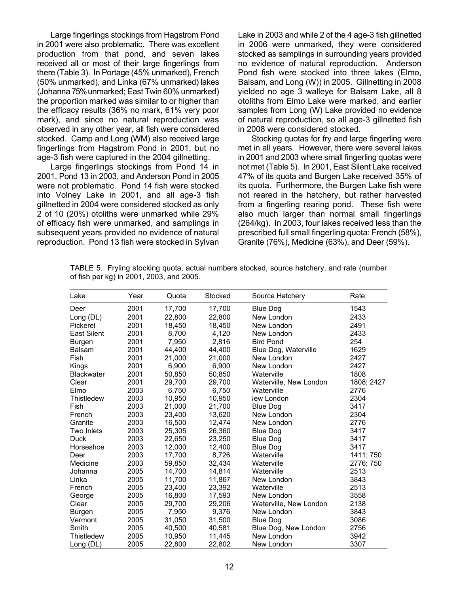Large fingerlings stockings from Hagstrom Pond in 2001 were also problematic. There was excellent production from that pond, and seven lakes received all or most of their large fingerlings from there (Table 3). In Portage (45% unmarked), French (50% unmarked), and Linka (67% unmarked) lakes (Johanna 75% unmarked; East Twin 60% unmarked) the proportion marked was similar to or higher than the efficacy results (36% no mark, 61% very poor mark), and since no natural reproduction was observed in any other year, all fish were considered stocked. Camp and Long (WM) also received large fingerlings from Hagstrom Pond in 2001, but no age-3 fish were captured in the 2004 gillnetting.

Large fingerlings stockings from Pond 14 in 2001, Pond 13 in 2003, and Anderson Pond in 2005 were not problematic. Pond 14 fish were stocked into Volney Lake in 2001, and all age-3 fish gillnetted in 2004 were considered stocked as only 2 of 10 (20%) otoliths were unmarked while 29% of efficacy fish were unmarked, and samplings in subsequent years provided no evidence of natural reproduction. Pond 13 fish were stocked in Sylvan

Lake in 2003 and while 2 of the 4 age-3 fish gillnetted in 2006 were unmarked, they were considered stocked as samplings in surrounding years provided no evidence of natural reproduction. Anderson Pond fish were stocked into three lakes (Elmo, Balsam, and Long (W)) in 2005. Gillnetting in 2008 yielded no age 3 walleye for Balsam Lake, all 8 otoliths from Elmo Lake were marked, and earlier samples from Long (W) Lake provided no evidence of natural reproduction, so all age-3 gillnetted fish in 2008 were considered stocked.

Stocking quotas for fry and large fingerling were met in all years. However, there were several lakes in 2001 and 2003 where small fingerling quotas were not met (Table 5). In 2001, East Silent Lake received 47% of its quota and Burgen Lake received 35% of its quota. Furthermore, the Burgen Lake fish were not reared in the hatchery, but rather harvested from a fingerling rearing pond. These fish were also much larger than normal small fingerlings (264/kg). In 2003, four lakes received less than the prescribed full small fingerling quota: French (58%), Granite (76%), Medicine (63%), and Deer (59%).

| Lake               | Year | Quota  | Stocked | Source Hatchery        | Rate       |
|--------------------|------|--------|---------|------------------------|------------|
| Deer               | 2001 | 17,700 | 17,700  | <b>Blue Dog</b>        | 1543       |
| Long (DL)          | 2001 | 22,800 | 22,800  | New London             | 2433       |
| Pickerel           | 2001 | 18,450 | 18,450  | New London             | 2491       |
| <b>East Silent</b> | 2001 | 8,700  | 4,120   | New London             | 2433       |
| Burgen             | 2001 | 7,950  | 2,816   | <b>Bird Pond</b>       | 254        |
| <b>Balsam</b>      | 2001 | 44,400 | 44,400  | Blue Dog, Waterville   | 1629       |
| Fish               | 2001 | 21,000 | 21.000  | New London             | 2427       |
| Kings              | 2001 | 6,900  | 6,900   | New London             | 2427       |
| <b>Blackwater</b>  | 2001 | 50,850 | 50,850  | Waterville             | 1808       |
| Clear              | 2001 | 29,700 | 29,700  | Waterville, New London | 1808; 2427 |
| Elmo               | 2003 | 6.750  | 6,750   | Waterville             | 2776       |
| Thistledew         | 2003 | 10,950 | 10,950  | lew London             | 2304       |
| Fish               | 2003 | 21,000 | 21,700  | <b>Blue Dog</b>        | 3417       |
| French             | 2003 | 23,400 | 13,620  | New London             | 2304       |
| Granite            | 2003 | 16,500 | 12,474  | New London             | 2776       |
| Two Inlets         | 2003 | 25,305 | 26,360  | <b>Blue Dog</b>        | 3417       |
| Duck               | 2003 | 22,650 | 23,250  | <b>Blue Dog</b>        | 3417       |
| Horseshoe          | 2003 | 12,000 | 12,400  | <b>Blue Dog</b>        | 3417       |
| Deer               | 2003 | 17,700 | 8,726   | Waterville             | 1411; 750  |
| Medicine           | 2003 | 59,850 | 32,434  | Waterville             | 2776; 750  |
| Johanna            | 2005 | 14,700 | 14,814  | Waterville             | 2513       |
| Linka              | 2005 | 11,700 | 11.867  | New London             | 3843       |
| French             | 2005 | 23,400 | 23,392  | Waterville             | 2513       |
| George             | 2005 | 16,800 | 17,593  | New London             | 3558       |
| Clear              | 2005 | 29,700 | 29,206  | Waterville, New London | 2138       |
| <b>Burgen</b>      | 2005 | 7,950  | 9,376   | New London             | 3843       |
| Vermont            | 2005 | 31,050 | 31,500  | <b>Blue Dog</b>        | 3086       |
| Smith              | 2005 | 40,500 | 40,581  | Blue Dog, New London   | 2756       |
| Thistledew         | 2005 | 10,950 | 11,445  | New London             | 3942       |
| Long (DL)          | 2005 | 22,800 | 22,802  | New London             | 3307       |

TABLE 5. Fryling stocking quota, actual numbers stocked, source hatchery, and rate (number of fish per kg) in 2001, 2003, and 2005.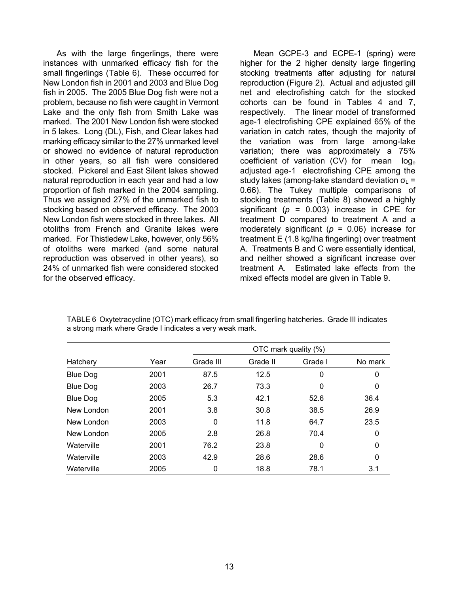As with the large fingerlings, there were instances with unmarked efficacy fish for the small fingerlings (Table 6). These occurred for New London fish in 2001 and 2003 and Blue Dog fish in 2005. The 2005 Blue Dog fish were not a problem, because no fish were caught in Vermont Lake and the only fish from Smith Lake was marked. The 2001 New London fish were stocked in 5 lakes. Long (DL), Fish, and Clear lakes had marking efficacy similar to the 27% unmarked level or showed no evidence of natural reproduction in other years, so all fish were considered stocked. Pickerel and East Silent lakes showed natural reproduction in each year and had a low proportion of fish marked in the 2004 sampling. Thus we assigned 27% of the unmarked fish to stocking based on observed efficacy. The 2003 New London fish were stocked in three lakes. All otoliths from French and Granite lakes were marked. For Thistledew Lake, however, only 56% of otoliths were marked (and some natural reproduction was observed in other years), so 24% of unmarked fish were considered stocked for the observed efficacy.

Mean GCPE-3 and ECPE-1 (spring) were higher for the 2 higher density large fingerling stocking treatments after adjusting for natural reproduction (Figure 2). Actual and adjusted gill net and electrofishing catch for the stocked cohorts can be found in Tables 4 and 7, respectively. The linear model of transformed age-1 electrofishing CPE explained 65% of the variation in catch rates, though the majority of the variation was from large among-lake variation; there was approximately a 75% coefficient of variation (CV) for mean loge adjusted age-1 electrofishing CPE among the study lakes (among-lake standard deviation  $\sigma_{L}$  = 0.66). The Tukey multiple comparisons of stocking treatments (Table 8) showed a highly significant  $(p = 0.003)$  increase in CPE for treatment D compared to treatment A and a moderately significant (*p* = 0.06) increase for treatment E (1.8 kg/lha fingerling) over treatment A. Treatments B and C were essentially identical, and neither showed a significant increase over treatment A. Estimated lake effects from the mixed effects model are given in Table 9.

|                 |      |           | OTC mark quality (%) |         |         |  |  |  |  |
|-----------------|------|-----------|----------------------|---------|---------|--|--|--|--|
| Hatchery        | Year | Grade III | Grade II             | Grade I | No mark |  |  |  |  |
| <b>Blue Dog</b> | 2001 | 87.5      | 12.5                 | 0       | 0       |  |  |  |  |
| <b>Blue Dog</b> | 2003 | 26.7      | 73.3                 | 0       | 0       |  |  |  |  |
| <b>Blue Dog</b> | 2005 | 5.3       | 42.1                 | 52.6    | 36.4    |  |  |  |  |
| New London      | 2001 | 3.8       | 30.8                 | 38.5    | 26.9    |  |  |  |  |
| New London      | 2003 | 0         | 11.8                 | 64.7    | 23.5    |  |  |  |  |
| New London      | 2005 | 2.8       | 26.8                 | 70.4    | 0       |  |  |  |  |
| Waterville      | 2001 | 76.2      | 23.8                 | 0       | 0       |  |  |  |  |
| Waterville      | 2003 | 42.9      | 28.6                 | 28.6    | 0       |  |  |  |  |
| Waterville      | 2005 | 0         | 18.8                 | 78.1    | 3.1     |  |  |  |  |

TABLE 6 Oxytetracycline (OTC) mark efficac y from small fingerling hatcheries. Grade III indicates a strong mark where Grade I indicates a very weak mark.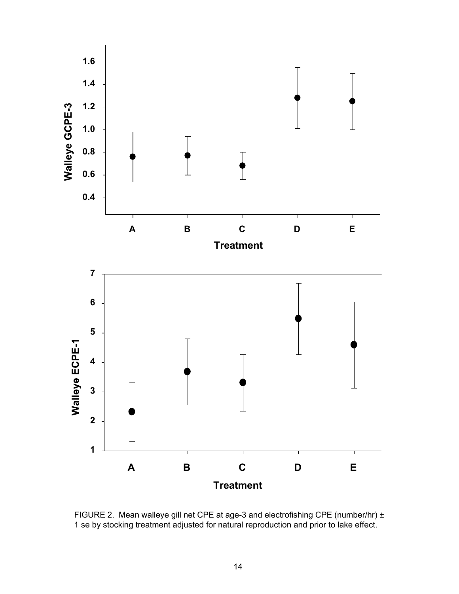

FIGURE 2. Mean walleye gill net CPE at age-3 and electrofishing CPE (number/hr) ± 1 se by stocking treatment adjusted for natural reproduction and prior to lake effect.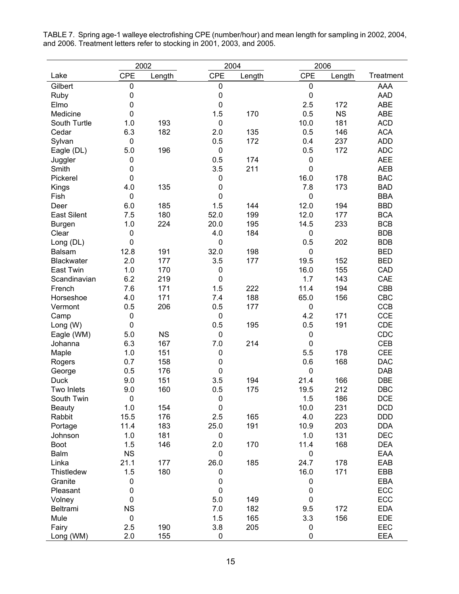|                    | 2002        |           | 2004             |        | 2006        |           |            |
|--------------------|-------------|-----------|------------------|--------|-------------|-----------|------------|
| Lake               | <b>CPE</b>  | Length    | <b>CPE</b>       | Length | <b>CPE</b>  | Length    | Treatment  |
| Gilbert            | 0           |           | 0                |        | $\pmb{0}$   |           | <b>AAA</b> |
| Ruby               | $\pmb{0}$   |           | $\boldsymbol{0}$ |        | $\pmb{0}$   |           | <b>AAD</b> |
| Elmo               | $\mathbf 0$ |           | $\pmb{0}$        |        | 2.5         | 172       | <b>ABE</b> |
| Medicine           | 0           |           | 1.5              | 170    | 0.5         | <b>NS</b> | <b>ABE</b> |
| South Turtle       | 1.0         | 193       | $\pmb{0}$        |        | 10.0        | 181       | <b>ACD</b> |
| Cedar              | 6.3         | 182       | 2.0              | 135    | 0.5         | 146       | <b>ACA</b> |
| Sylvan             | 0           |           | 0.5              | 172    | 0.4         | 237       | <b>ADD</b> |
| Eagle (DL)         | 5.0         | 196       | $\pmb{0}$        |        | 0.5         | 172       | <b>ADC</b> |
| Juggler            | 0           |           | 0.5              | 174    | $\pmb{0}$   |           | <b>AEE</b> |
| Smith              | 0           |           | 3.5              | 211    | 0           |           | <b>AEB</b> |
| Pickerel           | $\mathbf 0$ |           | $\mathbf 0$      |        | 16.0        | 178       | <b>BAC</b> |
| Kings              | 4.0         | 135       | $\pmb{0}$        |        | 7.8         | 173       | <b>BAD</b> |
| Fish               | $\pmb{0}$   |           | $\pmb{0}$        |        | $\pmb{0}$   |           | <b>BBA</b> |
| Deer               | 6.0         | 185       | 1.5              | 144    | 12.0        | 194       | <b>BBD</b> |
| <b>East Silent</b> | 7.5         | 180       | 52.0             | 199    | 12.0        | 177       | <b>BCA</b> |
| <b>Burgen</b>      | 1.0         | 224       | 20.0             | 195    | 14.5        | 233       | <b>BCB</b> |
| Clear              | 0           |           | 4.0              | 184    | $\mathbf 0$ |           | <b>BDB</b> |
| Long (DL)          | 0           |           | $\pmb{0}$        |        | 0.5         | 202       | <b>BDB</b> |
| <b>Balsam</b>      | 12.8        | 191       | 32.0             | 198    | $\mathbf 0$ |           | <b>BED</b> |
| <b>Blackwater</b>  | 2.0         | 177       | 3.5              | 177    | 19.5        | 152       | <b>BED</b> |
| <b>East Twin</b>   | 1.0         | 170       | 0                |        | 16.0        | 155       | CAD        |
| Scandinavian       | 6.2         | 219       | $\mathbf 0$      |        | 1.7         | 143       | CAE        |
| French             | 7.6         | 171       | 1.5              | 222    | 11.4        | 194       | <b>CBB</b> |
| Horseshoe          | 4.0         | 171       | 7.4              | 188    | 65.0        | 156       | CBC        |
| Vermont            | 0.5         | 206       | 0.5              | 177    | $\mathbf 0$ |           | <b>CCB</b> |
| Camp               | 0           |           | $\pmb{0}$        |        | 4.2         | 171       | <b>CCE</b> |
| Long (W)           | $\pmb{0}$   |           | 0.5              | 195    | 0.5         | 191       | <b>CDE</b> |
| Eagle (WM)         | 5.0         | <b>NS</b> | 0                |        | $\pmb{0}$   |           | <b>CDC</b> |
| Johanna            | 6.3         | 167       | 7.0              | 214    | $\mathbf 0$ |           | <b>CEB</b> |
| Maple              | 1.0         | 151       | $\mathbf 0$      |        | 5.5         | 178       | <b>CEE</b> |
| Rogers             | 0.7         | 158       | $\pmb{0}$        |        | 0.6         | 168       | <b>DAC</b> |
| George             | 0.5         | 176       | $\pmb{0}$        |        | 0           |           | <b>DAB</b> |
| <b>Duck</b>        | 9.0         | 151       | 3.5              | 194    | 21.4        | 166       | <b>DBE</b> |
| Two Inlets         | 9.0         | 160       | 0.5              | 175    | 19.5        | 212       | <b>DBC</b> |
| South Twin         | 0           |           | $\pmb{0}$        |        | 1.5         | 186       | <b>DCE</b> |
| <b>Beauty</b>      | 1.0         | 154       | $\mathbf 0$      |        | 10.0        | 231       | <b>DCD</b> |
| Rabbit             | 15.5        | 176       | 2.5              | 165    | 4.0         | 223       | <b>DDD</b> |
| Portage            | 11.4        | 183       | 25.0             | 191    | 10.9        | 203       | <b>DDA</b> |
| Johnson            | 1.0         | 181       | $\pmb{0}$        |        | 1.0         | 131       | <b>DEC</b> |
| Boot               | 1.5         | 146       | 2.0              | 170    | 11.4        | 168       | <b>DEA</b> |
| Balm               | <b>NS</b>   |           | $\pmb{0}$        |        | $\pmb{0}$   |           | EAA        |
| Linka              | 21.1        | 177       | 26.0             | 185    | 24.7        | 178       | EAB        |
| Thistledew         | 1.5         | 180       | 0                |        | 16.0        | 171       | EBB        |
| Granite            | 0           |           | $\pmb{0}$        |        | $\pmb{0}$   |           | <b>EBA</b> |
| Pleasant           | 0           |           | $\pmb{0}$        |        | $\pmb{0}$   |           | ECC        |
| Volney             | 0           |           | 5.0              | 149    | $\mathbf 0$ |           | ECC        |
| Beltrami           | <b>NS</b>   |           | 7.0              | 182    | 9.5         | 172       | <b>EDA</b> |
| Mule               | $\pmb{0}$   |           | 1.5              | 165    | 3.3         | 156       | <b>EDE</b> |
| Fairy              | 2.5         | 190       | 3.8              | 205    | 0           |           | EEC        |
| Long (WM)          | 2.0         | 155       | 0                |        | 0           |           | <b>EEA</b> |

TABLE 7. Spring age-1 walleye electrofishing CPE (number/hour) and mean length for sampling in 2002, 2004, and 2006. Treatment letters refer to stocking in 2001, 2003, and 2005.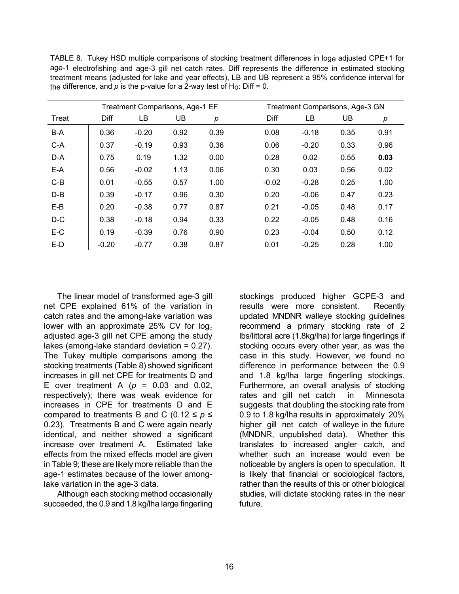|       |         | Treatment Comparisons, Age-1 EF |      |      |         | Treatment Comparisons, Age-3 GN |      |      |  |
|-------|---------|---------------------------------|------|------|---------|---------------------------------|------|------|--|
| Treat | Diff    | LВ                              | UB   | р    | Diff    | LВ                              | UB   | р    |  |
| B-A   | 0.36    | $-0.20$                         | 0.92 | 0.39 | 0.08    | $-0.18$                         | 0.35 | 0.91 |  |
| $C-A$ | 0.37    | $-0.19$                         | 0.93 | 0.36 | 0.06    | $-0.20$                         | 0.33 | 0.96 |  |
| D-A   | 0.75    | 0.19                            | 1.32 | 0.00 | 0.28    | 0.02                            | 0.55 | 0.03 |  |
| E-A   | 0.56    | $-0.02$                         | 1.13 | 0.06 | 0.30    | 0.03                            | 0.56 | 0.02 |  |
| $C-B$ | 0.01    | $-0.55$                         | 0.57 | 1.00 | $-0.02$ | $-0.28$                         | 0.25 | 1.00 |  |
| $D-B$ | 0.39    | $-0.17$                         | 0.96 | 0.30 | 0.20    | $-0.06$                         | 0.47 | 0.23 |  |
| $E-B$ | 0.20    | $-0.38$                         | 0.77 | 0.87 | 0.21    | $-0.05$                         | 0.48 | 0.17 |  |
| $D-C$ | 0.38    | $-0.18$                         | 0.94 | 0.33 | 0.22    | $-0.05$                         | 0.48 | 0.16 |  |
| E-C   | 0.19    | $-0.39$                         | 0.76 | 0.90 | 0.23    | $-0.04$                         | 0.50 | 0.12 |  |
| $E-D$ | $-0.20$ | $-0.77$                         | 0.38 | 0.87 | 0.01    | $-0.25$                         | 0.28 | 1.00 |  |

TABLE 8. Tukey HSD multiple comparisons of stocking treatment differences in loge adjusted CPE+1 for age-1 electrofishing and age-3 gill net catch rates. Diff represents the difference in estimated stocking treatment means (adjusted for lake and year effects), LB and UB represent a 95% confidence interval for the difference, and  $p$  is the p-value for a 2-way test of H<sub>o</sub>: Diff = 0.

The linear model of transformed age-3 gill net CPE explained 61% of the variation in catch rates and the among-lake variation was lower with an approximate 25% CV for loge adjusted age-3 gill net CPE among the study lakes (among-lake standard deviation = 0.27). The Tukey multiple comparisons among the stocking treatments (Table 8) showed significant increases in gill net CPE for treatments D and E over treatment A  $(p = 0.03$  and 0.02, respectively); there was weak evidence for increases in CPE for treatments D and E compared to treatments B and C (0.12  $\leq p \leq$ 0.23). Treatments B and C were again nearly identical, and neither showed a significant increase over treatment A. Estimated lake effects from the mixed effects model are given in Table 9; these are likely more reliable than the age-1 estimates because of the lower amonglake variation in the age-3 data.

Although each stocking method occasionally succeeded, the 0.9 and 1.8 kg/lha large fingerling

stockings produced higher GCPE-3 and results were more consistent. Recently updated MNDNR walleye stocking guidelines recommend a primary stocking rate of 2 lbs/littoral acre (1.8kg/lha) for large fingerlings if stocking occurs every other year, as was the case in this study. However, we found no difference in performance between the 0.9 and 1.8 kg/lha large fingerling stockings. Furthermore, an overall analysis of stocking rates and gill net catch in Minnesota suggests that doubling the stocking rate from 0.9 to 1.8 kg/lha results in approximately 20% higher gill net catch of walleye in the future (MNDNR, unpublished data). Whether this translates to increased angler catch, and whether such an increase would even be noticeable by anglers is open to speculation. It is likely that financial or sociological factors, rather than the results of this or other biological studies, will dictate stocking rates in the near future.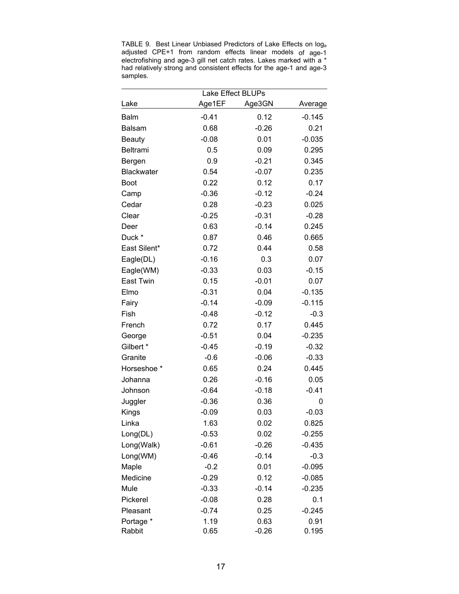TABLE 9. Best Linear Unbiased Predictors of Lake Effects on loge adjusted CPE+1 from random effects linear models of age-1 electrofishing and age-3 gill net catch rates. Lakes marked with a \* had relatively strong and consistent effects for the age-1 and age-3 samples.

|                     | Lake Effect BLUPs |                 |               |
|---------------------|-------------------|-----------------|---------------|
| Lake                | Age1EF            | Age3GN          | Average       |
| <b>Balm</b>         | $-0.41$           | 0.12            | $-0.145$      |
| <b>Balsam</b>       | 0.68              | $-0.26$         | 0.21          |
| <b>Beauty</b>       | $-0.08$           | 0.01            | $-0.035$      |
| Beltrami            | 0.5               | 0.09            | 0.295         |
| Bergen              | 0.9               | $-0.21$         | 0.345         |
| <b>Blackwater</b>   | 0.54              | $-0.07$         | 0.235         |
| Boot                | 0.22              | 0.12            | 0.17          |
| Camp                | $-0.36$           | $-0.12$         | $-0.24$       |
| Cedar               | 0.28              | $-0.23$         | 0.025         |
| Clear               | $-0.25$           | $-0.31$         | $-0.28$       |
| Deer                | 0.63              | $-0.14$         | 0.245         |
| Duck *              | 0.87              | 0.46            | 0.665         |
| East Silent*        | 0.72              | 0.44            | 0.58          |
| Eagle(DL)           | $-0.16$           | 0.3             | 0.07          |
| Eagle(WM)           | $-0.33$           | 0.03            | $-0.15$       |
| East Twin           | 0.15              | $-0.01$         | 0.07          |
| Elmo                | $-0.31$           | 0.04            | $-0.135$      |
| Fairy               | $-0.14$           | $-0.09$         | $-0.115$      |
| Fish                | $-0.48$           | $-0.12$         | $-0.3$        |
| French              | 0.72              | 0.17            | 0.445         |
| George              | $-0.51$           | 0.04            | $-0.235$      |
| Gilbert *           | $-0.45$           | $-0.19$         | $-0.32$       |
| Granite             | $-0.6$            | $-0.06$         | $-0.33$       |
| Horseshoe *         | 0.65              | 0.24            | 0.445         |
| Johanna             | 0.26              | $-0.16$         | 0.05          |
| Johnson             | $-0.64$           | $-0.18$         | $-0.41$       |
| Juggler             | $-0.36$           | 0.36            | 0             |
| Kings               | $-0.09$           | 0.03            | $-0.03$       |
| Linka               | 1.63              | 0.02            | 0.825         |
| Long(DL)            | $-0.53$           | 0.02            | $-0.255$      |
| Long(Walk)          | $-0.61$           | $-0.26$         | $-0.435$      |
| Long(WM)            | $-0.46$           | $-0.14$         | $-0.3$        |
| Maple               | $-0.2$            | 0.01            | $-0.095$      |
| Medicine            | $-0.29$           | 0.12            | $-0.085$      |
| Mule                | $-0.33$           | $-0.14$         | $-0.235$      |
| Pickerel            | $-0.08$           | 0.28            | 0.1           |
| Pleasant            | $-0.74$           | 0.25            | $-0.245$      |
| Portage *<br>Rabbit | 1.19<br>0.65      | 0.63<br>$-0.26$ | 0.91<br>0.195 |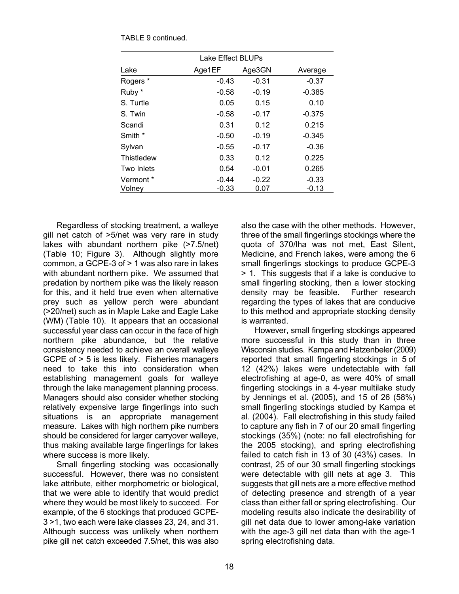|                     | Lake Effect BLUPs  |                 |                    |  |  |  |  |  |  |  |
|---------------------|--------------------|-----------------|--------------------|--|--|--|--|--|--|--|
| Lake                | Age1EF             | Age3GN          | Average            |  |  |  |  |  |  |  |
| Rogers *            | $-0.43$            | $-0.31$         | $-0.37$            |  |  |  |  |  |  |  |
| Ruby *              | $-0.58$            | $-0.19$         | $-0.385$           |  |  |  |  |  |  |  |
| S. Turtle           | 0.05               | 0.15            | 0.10               |  |  |  |  |  |  |  |
| S. Twin             | $-0.58$            | $-0.17$         | $-0.375$           |  |  |  |  |  |  |  |
| Scandi              | 0.31               | 0.12            | 0.215              |  |  |  |  |  |  |  |
| Smith *             | $-0.50$            | $-0.19$         | $-0.345$           |  |  |  |  |  |  |  |
| Sylvan              | $-0.55$            | $-0.17$         | $-0.36$            |  |  |  |  |  |  |  |
| Thistledew          | 0.33               | 0.12            | 0.225              |  |  |  |  |  |  |  |
| Two Inlets          | 0.54               | $-0.01$         | 0.265              |  |  |  |  |  |  |  |
| Vermont *<br>Volney | $-0.44$<br>$-0.33$ | $-0.22$<br>0.07 | $-0.33$<br>$-0.13$ |  |  |  |  |  |  |  |
|                     |                    |                 |                    |  |  |  |  |  |  |  |

TABLE 9 continued.

Regardless of stocking treatment, a walleye gill net catch of >5/net was very rare in study lakes with abundant northern pike (>7.5/net) (Table 10; Figure 3). Although slightly more common, a GCPE-3 of > 1 was also rare in lakes with abundant northern pike. We assumed that predation by northern pike was the likely reason for this, and it held true even when alternative prey such as yellow perch were abundant (>20/net) such as in Maple Lake and Eagle Lake (WM) (Table 10). It appears that an occasional successful year class can occur in the face of high northern pike abundance, but the relative consistency needed to achieve an overall walleye GCPE of > 5 is less likely. Fisheries managers need to take this into consideration when establishing management goals for walleye through the lake management planning process. Managers should also consider whether stocking relatively expensive large fingerlings into such situations is an appropriate management measure. Lakes with high northern pike numbers should be considered for larger carryover walleye, thus making available large fingerlings for lakes where success is more likely.

Small fingerling stocking was occasionally successful. However, there was no consistent lake attribute, either morphometric or biological, that we were able to identify that would predict where they would be most likely to succeed. For example, of the 6 stockings that produced GCPE-3 >1, two each were lake classes 23, 24, and 31. Although success was unlikely when northern pike gill net catch exceeded 7.5/net, this was also

also the case with the other methods. However, three of the small fingerlings stockings where the quota of 370/lha was not met, East Silent, Medicine, and French lakes, were among the 6 small fingerlings stockings to produce GCPE-3 > 1. This suggests that if a lake is conducive to small fingerling stocking, then a lower stocking density may be feasible. Further research regarding the types of lakes that are conducive to this method and appropriate stocking density is warranted.

However, small fingerling stockings appeared more successful in this study than in three Wisconsin studies. Kampa and Hatzenbeler (2009) reported that small fingerling stockings in 5 of 12 (42%) lakes were undetectable with fall electrofishing at age-0, as were 40% of small fingerling stockings in a 4-year multilake study by Jennings et al. (2005), and 15 of 26 (58%) small fingerling stockings studied by Kampa et al. (2004). Fall electrofishing in this study failed to capture any fish in 7 of our 20 small fingerling stockings (35%) (note: no fall electrofishing for the 2005 stocking), and spring electrofishing failed to catch fish in 13 of 30 (43%) cases. In contrast, 25 of our 30 small fingerling stockings were detectable with gill nets at age 3. This suggests that gill nets are a more effective method of detecting presence and strength of a year class than either fall or spring electrofishing. Our modeling results also indicate the desirability of gill net data due to lower among-lake variation with the age-3 gill net data than with the age-1 spring electrofishing data.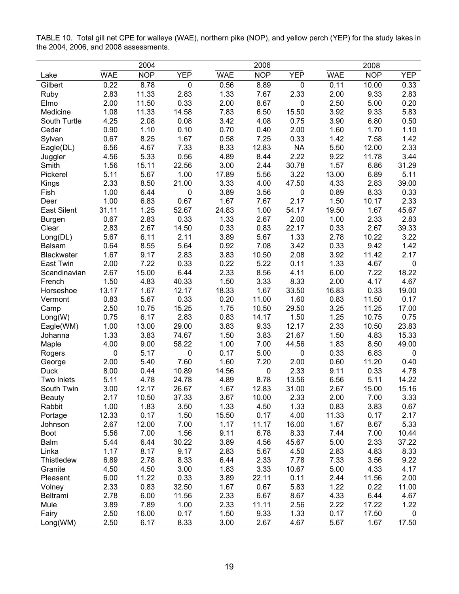|                    |            | 2004       |            |            | 2006       |            |            | 2008       |             |
|--------------------|------------|------------|------------|------------|------------|------------|------------|------------|-------------|
| Lake               | <b>WAE</b> | <b>NOP</b> | <b>YEP</b> | <b>WAE</b> | <b>NOP</b> | <b>YEP</b> | <b>WAE</b> | <b>NOP</b> | <b>YEP</b>  |
| Gilbert            | 0.22       | 8.78       | 0          | 0.56       | 8.89       | $\pmb{0}$  | 0.11       | 10.00      | 0.33        |
| Ruby               | 2.83       | 11.33      | 2.83       | 1.33       | 7.67       | 2.33       | 2.00       | 9.33       | 2.83        |
| Elmo               | 2.00       | 11.50      | 0.33       | 2.00       | 8.67       | $\pmb{0}$  | 2.50       | 5.00       | 0.20        |
| Medicine           | 1.08       | 11.33      | 14.58      | 7.83       | 6.50       | 15.50      | 3.92       | 9.33       | 5.83        |
| South Turtle       | 4.25       | 2.08       | 0.08       | 3.42       | 4.08       | 0.75       | 3.90       | 6.80       | 0.50        |
| Cedar              | 0.90       | 1.10       | 0.10       | 0.70       | 0.40       | 2.00       | 1.60       | 1.70       | 1.10        |
| Sylvan             | 0.67       | 8.25       | 1.67       | 0.58       | 7.25       | 0.33       | 1.42       | 7.58       | 1.42        |
| Eagle(DL)          | 6.56       | 4.67       | 7.33       | 8.33       | 12.83      | <b>NA</b>  | 5.50       | 12.00      | 2.33        |
| Juggler            | 4.56       | 5.33       | 0.56       | 4.89       | 8.44       | 2.22       | 9.22       | 11.78      | 3.44        |
| Smith              | 1.56       | 15.11      | 22.56      | 3.00       | 2.44       | 30.78      | 1.57       | 6.86       | 31.29       |
| Pickerel           | 5.11       | 5.67       | 1.00       | 17.89      | 5.56       | 3.22       | 13.00      | 6.89       | 5.11        |
| Kings              | 2.33       | 8.50       | 21.00      | 3.33       | 4.00       | 47.50      | 4.33       | 2.83       | 39.00       |
| Fish               | 1.00       | 6.44       | 0          | 3.89       | 3.56       | $\pmb{0}$  | 0.89       | 8.33       | 0.33        |
| Deer               | 1.00       | 6.83       | 0.67       | 1.67       | 7.67       | 2.17       | 1.50       | 10.17      | 2.33        |
| <b>East Silent</b> | 31.11      | 1.25       | 52.67      | 24.83      | 1.00       | 54.17      | 19.50      | 1.67       | 45.67       |
| <b>Burgen</b>      | 0.67       | 2.83       | 0.33       | 1.33       | 2.67       | 2.00       | 1.00       | 2.33       | 2.83        |
| Clear              | 2.83       | 2.67       | 14.50      | 0.33       | 0.83       | 22.17      | 0.33       | 2.67       | 39.33       |
| Long(DL)           | 5.67       | 6.11       | 2.11       | 3.89       | 5.67       | 1.33       | 2.78       | 10.22      | 3.22        |
| <b>Balsam</b>      | 0.64       | 8.55       | 5.64       | 0.92       | 7.08       | 3.42       | 0.33       | 9.42       | 1.42        |
| <b>Blackwater</b>  | 1.67       | 9.17       | 2.83       | 3.83       | 10.50      | 2.08       | 3.92       | 11.42      | 2.17        |
| East Twin          | 2.00       | 7.22       | 0.33       | 0.22       | 5.22       | 0.11       | 1.33       | 4.67       | 0           |
| Scandinavian       | 2.67       | 15.00      | 6.44       | 2.33       | 8.56       | 4.11       | 6.00       | 7.22       | 18.22       |
| French             | 1.50       | 4.83       | 40.33      | 1.50       | 3.33       | 8.33       | 2.00       | 4.17       | 4.67        |
| Horseshoe          | 13.17      | 1.67       | 12.17      | 18.33      | 1.67       | 33.50      | 16.83      | 0.33       | 19.00       |
| Vermont            | 0.83       | 5.67       | 0.33       | 0.20       | 11.00      | 1.60       | 0.83       | 11.50      | 0.17        |
| Camp               | 2.50       | 10.75      | 15.25      | 1.75       | 10.50      | 29.50      | 3.25       | 11.25      | 17.00       |
| Long(W)            | 0.75       | 6.17       | 2.83       | 0.83       | 14.17      | 1.50       | 1.25       | 10.75      | 0.75        |
| Eagle(WM)          | 1.00       | 13.00      | 29.00      | 3.83       | 9.33       | 12.17      | 2.33       | 10.50      | 23.83       |
| Johanna            | 1.33       | 3.83       | 74.67      | 1.50       | 3.83       | 21.67      | 1.50       | 4.83       | 15.33       |
| Maple              | 4.00       | 9.00       | 58.22      | 1.00       | 7.00       | 44.56      | 1.83       | 8.50       | 49.00       |
| Rogers             | $\pmb{0}$  | 5.17       | 0          | 0.17       | 5.00       | $\pmb{0}$  | 0.33       | 6.83       | $\mathbf 0$ |
| George             | 2.00       | 5.40       | 7.60       | 1.60       | 7.20       | 2.00       | 0.60       | 11.20      | 0.40        |
| <b>Duck</b>        | 8.00       | 0.44       | 10.89      | 14.56      | $\pmb{0}$  | 2.33       | 9.11       | 0.33       | 4.78        |
| Two Inlets         | 5.11       | 4.78       | 24.78      | 4.89       | 8.78       | 13.56      | 6.56       | 5.11       | 14.22       |
| South Twin         | 3.00       | 12.17      | 26.67      | 1.67       | 12.83      | 31.00      | 2.67       | 15.00      | 15.16       |
| <b>Beauty</b>      | 2.17       | 10.50      | 37.33      | 3.67       | 10.00      | 2.33       | 2.00       | 7.00       | 3.33        |
| Rabbit             | 1.00       | 1.83       | 3.50       | 1.33       | 4.50       | 1.33       | 0.83       | 3.83       | 0.67        |
| Portage            | 12.33      | 0.17       | 1.50       | 15.50      | 0.17       | 4.00       | 11.33      | 0.17       | 2.17        |
| Johnson            | 2.67       | 12.00      | 7.00       | 1.17       | 11.17      | 16.00      | 1.67       | 8.67       | 5.33        |
| Boot               | 5.56       | 7.00       | 1.56       | 9.11       | 6.78       | 8.33       | 7.44       | 7.00       | 10.44       |
| Balm               | 5.44       | 6.44       | 30.22      | 3.89       | 4.56       | 45.67      | 5.00       | 2.33       | 37.22       |
| Linka              | 1.17       | 8.17       | 9.17       | 2.83       | 5.67       | 4.50       | 2.83       | 4.83       | 8.33        |
| <b>Thistledew</b>  | 6.89       | 2.78       | 8.33       | 6.44       | 2.33       | 7.78       | 7.33       | 3.56       | 9.22        |
| Granite            | 4.50       | 4.50       | 3.00       | 1.83       | 3.33       | 10.67      | 5.00       | 4.33       | 4.17        |
| Pleasant           | 6.00       | 11.22      | 0.33       | 3.89       | 22.11      | 0.11       | 2.44       | 11.56      | 2.00        |
| Volney             | 2.33       | 0.83       | 32.50      | 1.67       | 0.67       | 5.83       | 1.22       | 0.22       | 11.00       |
| Beltrami           | 2.78       | 6.00       | 11.56      | 2.33       | 6.67       | 8.67       | 4.33       | 6.44       | 4.67        |
| Mule               | 3.89       | 7.89       | 1.00       | 2.33       | 11.11      | 2.56       | 2.22       | 17.22      | 1.22        |
| Fairy              | 2.50       | 16.00      | 0.17       | 1.50       | 9.33       | 1.33       | 0.17       | 17.50      | 0           |
| Long(WM)           | 2.50       | 6.17       | 8.33       | 3.00       | 2.67       | 4.67       | 5.67       | 1.67       | 17.50       |

TABLE 10. Total gill net CPE for walleye (WAE), northern pike (NOP), and yellow perch (YEP) for the study lakes in the 2004, 2006, and 2008 assessments.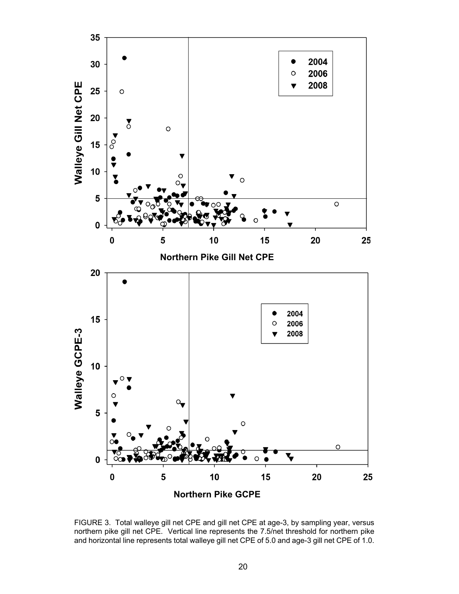

FIGURE 3. Total walleye gill net CPE and gill net CPE at age-3, by sampling year, versus northern pike gill net CPE. Vertical line represents the 7.5/net threshold for northern pike and horizontal line represents total walleye gill net CPE of 5.0 and age-3 gill net CPE of 1.0.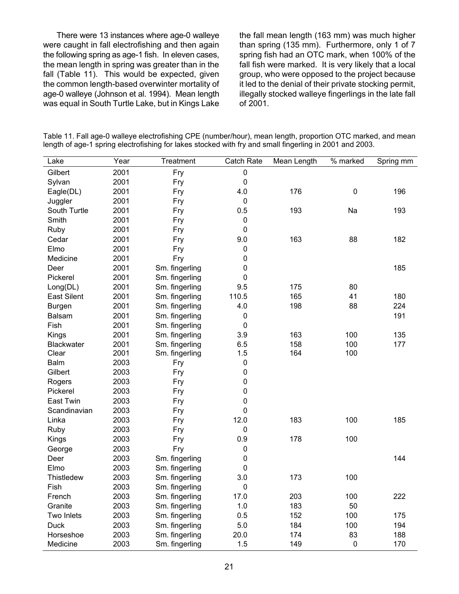There were 13 instances where age-0 walleye were caught in fall electrofishing and then again the following spring as age-1 fish. In eleven cases, the mean length in spring was greater than in the fall (Table 11). This would be expected, given the common length-based overwinter mortality of age-0 walleye (Johnson et al. 1994). Mean length was equal in South Turtle Lake, but in Kings Lake

the fall mean length (163 mm) was much higher than spring (135 mm). Furthermore, only 1 of 7 spring fish had an OTC mark, when 100% of the fall fish were marked. It is very likely that a local group, who were opposed to the project because it led to the denial of their private stocking permit, illegally stocked walleye fingerlings in the late fall of 2001.

| Lake               | Year | Treatment      | Catch Rate       | Mean Length | % marked    | Spring mm |
|--------------------|------|----------------|------------------|-------------|-------------|-----------|
| Gilbert            | 2001 | Fry            | $\pmb{0}$        |             |             |           |
| Sylvan             | 2001 | Fry            | $\boldsymbol{0}$ |             |             |           |
| Eagle(DL)          | 2001 | Fry            | 4.0              | 176         | $\mathbf 0$ | 196       |
| Juggler            | 2001 | Fry            | $\boldsymbol{0}$ |             |             |           |
| South Turtle       | 2001 | Fry            | 0.5              | 193         | Na          | 193       |
| Smith              | 2001 | Fry            | $\boldsymbol{0}$ |             |             |           |
| Ruby               | 2001 | Fry            | $\mathbf 0$      |             |             |           |
| Cedar              | 2001 | Fry            | 9.0              | 163         | 88          | 182       |
| Elmo               | 2001 | Fry            | 0                |             |             |           |
| Medicine           | 2001 | Fry            | 0                |             |             |           |
| Deer               | 2001 | Sm. fingerling | 0                |             |             | 185       |
| Pickerel           | 2001 | Sm. fingerling | 0                |             |             |           |
| Long(DL)           | 2001 | Sm. fingerling | 9.5              | 175         | 80          |           |
| <b>East Silent</b> | 2001 | Sm. fingerling | 110.5            | 165         | 41          | 180       |
| <b>Burgen</b>      | 2001 | Sm. fingerling | 4.0              | 198         | 88          | 224       |
| <b>Balsam</b>      | 2001 | Sm. fingerling | 0                |             |             | 191       |
| Fish               | 2001 | Sm. fingerling | $\mathbf 0$      |             |             |           |
| Kings              | 2001 | Sm. fingerling | 3.9              | 163         | 100         | 135       |
| <b>Blackwater</b>  | 2001 | Sm. fingerling | 6.5              | 158         | 100         | 177       |
| Clear              | 2001 | Sm. fingerling | 1.5              | 164         | 100         |           |
| <b>Balm</b>        | 2003 | Fry            | 0                |             |             |           |
| Gilbert            | 2003 | Fry            | $\boldsymbol{0}$ |             |             |           |
| Rogers             | 2003 | Fry            | 0                |             |             |           |
| Pickerel           | 2003 | Fry            | 0                |             |             |           |
| East Twin          | 2003 | Fry            | 0                |             |             |           |
| Scandinavian       | 2003 | Fry            | $\mathbf 0$      |             |             |           |
| Linka              | 2003 | Fry            | 12.0             | 183         | 100         | 185       |
| Ruby               | 2003 | Fry            | $\boldsymbol{0}$ |             |             |           |
| Kings              | 2003 | Fry            | 0.9              | 178         | 100         |           |
| George             | 2003 | Fry            | 0                |             |             |           |
| Deer               | 2003 | Sm. fingerling | 0                |             |             | 144       |
| Elmo               | 2003 | Sm. fingerling | $\boldsymbol{0}$ |             |             |           |
| <b>Thistledew</b>  | 2003 | Sm. fingerling | 3.0              | 173         | 100         |           |
| Fish               | 2003 | Sm. fingerling | $\pmb{0}$        |             |             |           |
| French             | 2003 | Sm. fingerling | 17.0             | 203         | 100         | 222       |
| Granite            | 2003 | Sm. fingerling | 1.0              | 183         | 50          |           |
| Two Inlets         | 2003 | Sm. fingerling | 0.5              | 152         | 100         | 175       |
| Duck               | 2003 | Sm. fingerling | 5.0              | 184         | 100         | 194       |
| Horseshoe          | 2003 | Sm. fingerling | 20.0             | 174         | 83          | 188       |
| Medicine           | 2003 | Sm. fingerling | 1.5              | 149         | $\pmb{0}$   | 170       |

Table 11. Fall age-0 walleye electrofishing CPE (number/hour), mean length, proportion OTC marked, and mean length of age-1 spring electrofishing for lakes stocked with fry and small fingerling in 2001 and 2003.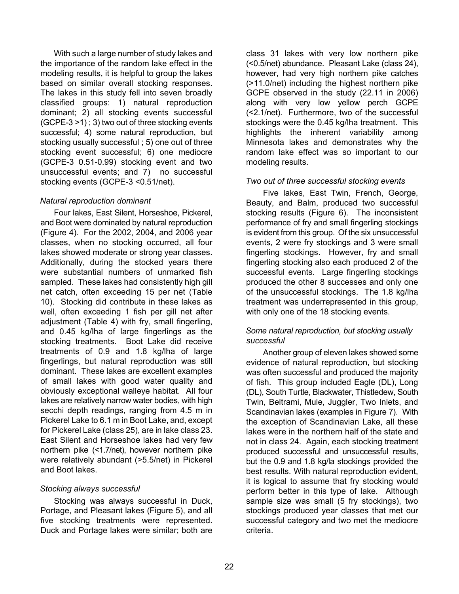With such a large number of study lakes and the importance of the random lake effect in the modeling results, it is helpful to group the lakes based on similar overall stocking responses. The lakes in this study fell into seven broadly classified groups: 1) natural reproduction dominant; 2) all stocking events successful (GCPE-3 >1) ; 3) two out of three stocking events successful; 4) some natural reproduction, but stocking usually successful ; 5) one out of three stocking event successful; 6) one mediocre (GCPE-3 0.51-0.99) stocking event and two unsuccessful events; and 7) no successful stocking events (GCPE-3 <0.51/net).

## *Natural reproduction dominant*

Four lakes, East Silent, Horseshoe, Pickerel, and Boot were dominated by natural reproduction (Figure 4). For the 2002, 2004, and 2006 year classes, when no stocking occurred, all four lakes showed moderate or strong year classes. Additionally, during the stocked years there were substantial numbers of unmarked fish sampled. These lakes had consistently high gill net catch, often exceeding 15 per net (Table 10). Stocking did contribute in these lakes as well, often exceeding 1 fish per gill net after adjustment (Table 4) with fry, small fingerling, and 0.45 kg/lha of large fingerlings as the stocking treatments. Boot Lake did receive treatments of 0.9 and 1.8 kg/lha of large fingerlings, but natural reproduction was still dominant. These lakes are excellent examples of small lakes with good water quality and obviously exceptional walleye habitat. All four lakes are relatively narrow water bodies, with high secchi depth readings, ranging from 4.5 m in Pickerel Lake to 6.1 m in Boot Lake, and, except for Pickerel Lake (class 25), are in lake class 23. East Silent and Horseshoe lakes had very few northern pike (<1.7/net), however northern pike were relatively abundant (>5.5/net) in Pickerel and Boot lakes.

## *Stocking always successful*

Stocking was always successful in Duck, Portage, and Pleasant lakes (Figure 5), and all five stocking treatments were represented. Duck and Portage lakes were similar; both are class 31 lakes with very low northern pike (<0.5/net) abundance. Pleasant Lake (class 24), however, had very high northern pike catches (>11.0/net) including the highest northern pike GCPE observed in the study (22.11 in 2006) along with very low yellow perch GCPE (<2.1/net). Furthermore, two of the successful stockings were the 0.45 kg/lha treatment. This highlights the inherent variability among Minnesota lakes and demonstrates why the random lake effect was so important to our modeling results.

## *Two out of three successful stocking events*

Five lakes, East Twin, French, George, Beauty, and Balm, produced two successful stocking results (Figure 6). The inconsistent performance of fry and small fingerling stockings is evident from this group. Of the six unsuccessful events, 2 were fry stockings and 3 were small fingerling stockings. However, fry and small fingerling stocking also each produced 2 of the successful events. Large fingerling stockings produced the other 8 successes and only one of the unsuccessful stockings. The 1.8 kg/lha treatment was underrepresented in this group, with only one of the 18 stocking events.

## *Some natural reproduction, but stocking usually successful*

Another group of eleven lakes showed some evidence of natural reproduction, but stocking was often successful and produced the majority of fish. This group included Eagle (DL), Long (DL), South Turtle, Blackwater, Thistledew, South Twin, Beltrami, Mule, Juggler, Two Inlets, and Scandinavian lakes (examples in Figure 7). With the exception of Scandinavian Lake, all these lakes were in the northern half of the state and not in class 24. Again, each stocking treatment produced successful and unsuccessful results, but the 0.9 and 1.8 kg/la stockings provided the best results. With natural reproduction evident, it is logical to assume that fry stocking would perform better in this type of lake. Although sample size was small (5 fry stockings), two stockings produced year classes that met our successful category and two met the mediocre criteria.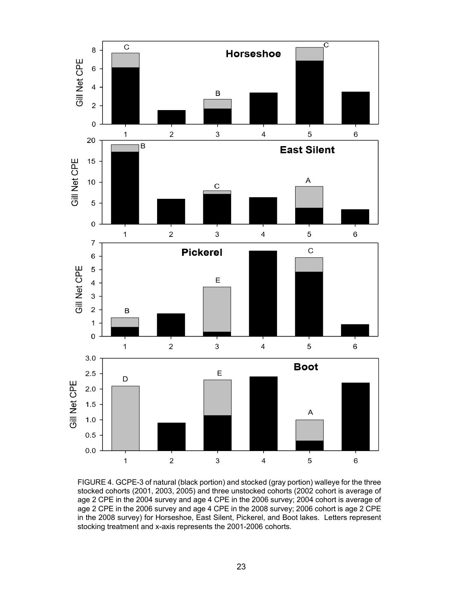

FIGURE 4. GCPE-3 of natural (black portion) and stocked (gray portion) walleye for the three stocked cohorts (2001, 2003, 2005) and three unstocked cohorts (2002 cohort is average of age 2 CPE in the 2004 survey and age 4 CPE in the 2006 survey; 2004 cohort is average of age 2 CPE in the 2006 survey and age 4 CPE in the 2008 survey; 2006 cohort is age 2 CPE in the 2008 survey) for Horseshoe, East Silent, Pickerel, and Boot lakes. Letters represent stocking treatment and x-axis represents the 2001-2006 cohorts.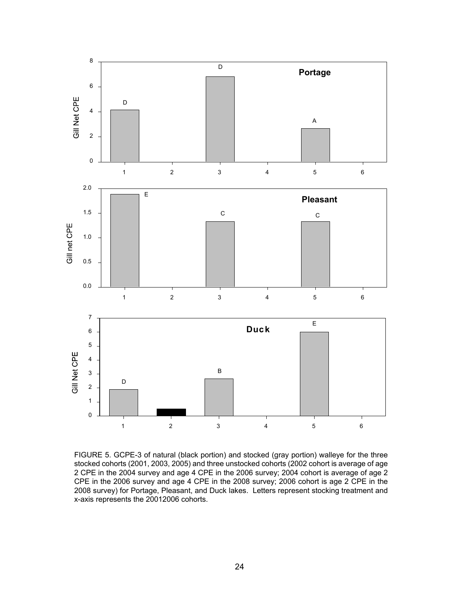

FIGURE 5. GCPE-3 of natural (black portion) and stocked (gray portion) walleye for the three stocked cohorts (2001, 2003, 2005) and three unstocked cohorts (2002 cohort is average of age 2 CPE in the 2004 survey and age 4 CPE in the 2006 survey; 2004 cohort is average of age 2 CPE in the 2006 survey and age 4 CPE in the 2008 survey; 2006 cohort is age 2 CPE in the 2008 survey) for Portage, Pleasant, and Duck lakes. Letters represent stocking treatment and x-axis represents the 20012006 cohorts.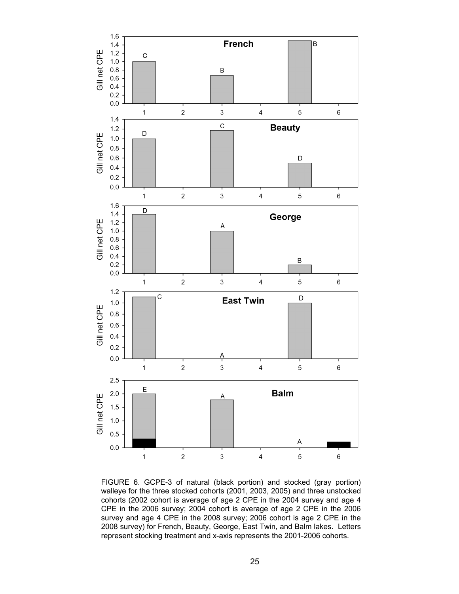

FIGURE 6. GCPE-3 of natural (black portion) and stocked (gray portion) walleye for the three stocked cohorts (2001, 2003, 2005) and three unstocked cohorts (2002 cohort is average of age 2 CPE in the 2004 survey and age 4 CPE in the 2006 survey; 2004 cohort is average of age 2 CPE in the 2006 survey and age 4 CPE in the 2008 survey; 2006 cohort is age 2 CPE in the 2008 survey) for French, Beauty, George, East Twin, and Balm lakes. Letters represent stocking treatment and x-axis represents the 2001-2006 cohorts.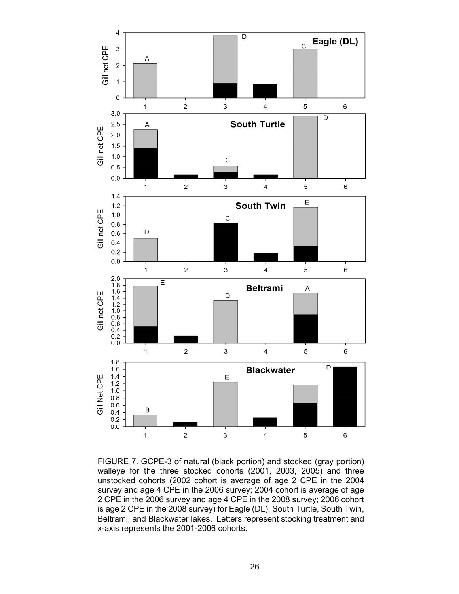![](_page_25_Figure_0.jpeg)

FIGURE 7. GCPE-3 of natural (black portion) and stocked (gray portion) walleye for the three stocked cohorts (2001, 2003, 2005) and three unstocked cohorts (2002 cohort is average of age 2 CPE in the 2004 survey and age 4 CPE in the 2006 survey; 2004 cohort is average of age 2 CPE in the 2006 survey and age 4 CPE in the 2008 survey; 2006 cohort is age 2 CPE in the 2008 survey) for Eagle (DL), South Turtle, South Twin, Beltrami, and Blackwater lakes. Letters represent stocking treatment and x-axis represents the 2001-2006 cohorts.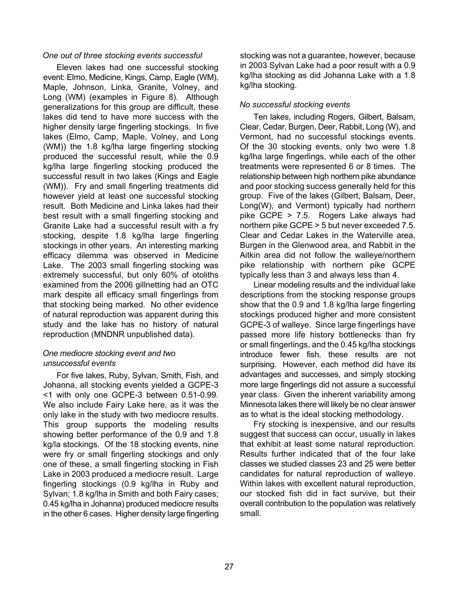### *One out of three stocking events successful*

Eleven lakes had one successful stocking event: Elmo, Medicine, Kings, Camp, Eagle (WM), Maple, Johnson, Linka, Granite, Volney, and Long (WM) (examples in Figure 8). Although generalizations for this group are difficult, these lakes did tend to have more success with the higher density large fingerling stockings. In five lakes (Elmo, Camp, Maple, Volney, and Long (WM)) the 1.8 kg/lha large fingerling stocking produced the successful result, while the 0.9 kg/lha large fingerling stocking produced the successful result in two lakes (Kings and Eagle (WM)). Fry and small fingerling treatments did however yield at least one successful stocking result. Both Medicine and Linka lakes had their best result with a small fingerling stocking and Granite Lake had a successful result with a fry stocking, despite 1.8 kg/lha large fingerling stockings in other years. An interesting marking efficacy dilemma was observed in Medicine Lake. The 2003 small fingerling stocking was extremely successful, but only 60% of otoliths examined from the 2006 gillnetting had an OTC mark despite all efficacy small fingerlings from that stocking being marked. No other evidence of natural reproduction was apparent during this study and the lake has no history of natural reproduction (MNDNR unpublished data).

## *One mediocre stocking event and two unsuccessful events*

For five lakes, Ruby, Sylvan, Smith, Fish, and Johanna, all stocking events yielded a GCPE-3 <1 with only one GCPE-3 between 0.51-0.99. We also include Fairy Lake here, as it was the only lake in the study with two mediocre results. This group supports the modeling results showing better performance of the 0.9 and 1.8 kg/la stockings. Of the 18 stocking events, nine were fry or small fingerling stockings and only one of these, a small fingerling stocking in Fish Lake in 2003 produced a mediocre result. Large fingerling stockings (0.9 kg/lha in Ruby and Sylvan; 1.8 kg/lha in Smith and both Fairy cases; 0.45 kg/lha in Johanna) produced mediocre results in the other 6 cases. Higher density large fingerling stocking was not a guarantee, however, because in 2003 Sylvan Lake had a poor result with a 0.9 kg/lha stocking as did Johanna Lake with a 1.8 kg/lha stocking.

# *No successful stocking events*

Ten lakes, including Rogers, Gilbert, Balsam, Clear, Cedar, Burgen, Deer, Rabbit, Long (W), and Vermont, had no successful stockings events. Of the 30 stocking events, only two were 1.8 kg/lha large fingerlings, while each of the other treatments were represented 6 or 8 times. The relationship between high northern pike abundance and poor stocking success generally held for this group. Five of the lakes (Gilbert, Balsam, Deer, Long(W), and Vermont) typically had northern pike GCPE > 7.5. Rogers Lake always had northern pike GCPE > 5 but never exceeded 7.5. Clear and Cedar Lakes in the Waterville area, Burgen in the Glenwood area, and Rabbit in the Aitkin area did not follow the walleye/northern pike relationship with northern pike GCPE typically less than 3 and always less than 4.

Linear modeling results and the individual lake descriptions from the stocking response groups show that the 0.9 and 1.8 kg/lha large fingerling stockings produced higher and more consistent GCPE-3 of walleye. Since large fingerlings have passed more life history bottlenecks than fry or small fingerlings, and the 0.45 kg/lha stockings introduce fewer fish, these results are not surprising. However, each method did have its advantages and successes, and simply stocking more large fingerlings did not assure a successful year class. Given the inherent variability among Minnesota lakes there will likely be no clear answer as to what is the ideal stocking methodology.

Fry stocking is inexpensive, and our results suggest that success can occur, usually in lakes that exhibit at least some natural reproduction. Results further indicated that of the four lake classes we studied classes 23 and 25 were better candidates for natural reproduction of walleye. Within lakes with excellent natural reproduction, our stocked fish did in fact survive, but their overall contribution to the population was relatively small.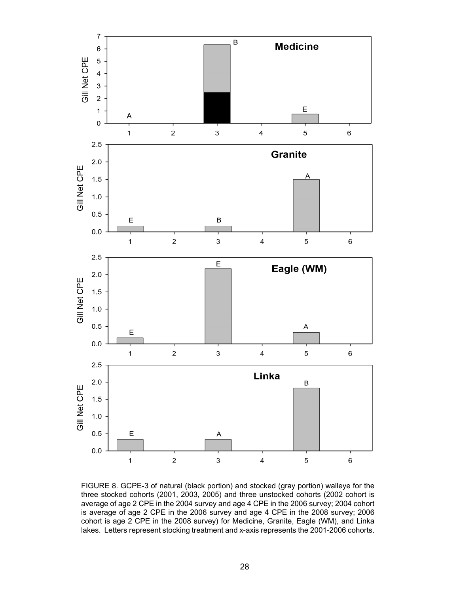![](_page_27_Figure_0.jpeg)

FIGURE 8. GCPE-3 of natural (black portion) and stocked (gray portion) walleye for the three stocked cohorts (2001, 2003, 2005) and three unstocked cohorts (2002 cohort is average of age 2 CPE in the 2004 survey and age 4 CPE in the 2006 survey; 2004 cohort is average of age 2 CPE in the 2006 survey and age 4 CPE in the 2008 survey; 2006 cohort is age 2 CPE in the 2008 survey) for Medicine, Granite, Eagle (WM), and Linka lakes. Letters represent stocking treatment and x-axis represents the 2001-2006 cohorts.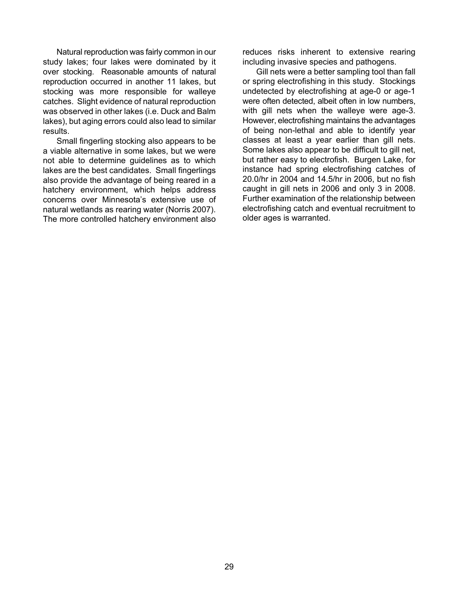Natural reproduction was fairly common in our study lakes; four lakes were dominated by it over stocking. Reasonable amounts of natural reproduction occurred in another 11 lakes, but stocking was more responsible for walleye catches. Slight evidence of natural reproduction was observed in other lakes (i.e. Duck and Balm lakes), but aging errors could also lead to similar results.

Small fingerling stocking also appears to be a viable alternative in some lakes, but we were not able to determine guidelines as to which lakes are the best candidates. Small fingerlings also provide the advantage of being reared in a hatchery environment, which helps address concerns over Minnesota's extensive use of natural wetlands as rearing water (Norris 2007). The more controlled hatchery environment also

reduces risks inherent to extensive rearing including invasive species and pathogens.

Gill nets were a better sampling tool than fall or spring electrofishing in this study. Stockings undetected by electrofishing at age-0 or age-1 were often detected, albeit often in low numbers, with gill nets when the walleye were age-3. However, electrofishing maintains the advantages of being non-lethal and able to identify year classes at least a year earlier than gill nets. Some lakes also appear to be difficult to gill net, but rather easy to electrofish. Burgen Lake, for instance had spring electrofishing catches of 20.0/hr in 2004 and 14.5/hr in 2006, but no fish caught in gill nets in 2006 and only 3 in 2008. Further examination of the relationship between electrofishing catch and eventual recruitment to older ages is warranted.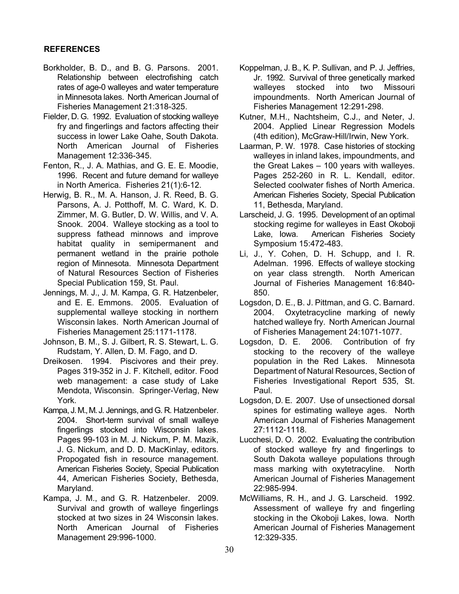### **REFERENCES**

- Borkholder, B. D., and B. G. Parsons. 2001. Relationship between electrofishing catch rates of age-0 walleyes and water temperature in Minnesota lakes. North American Journal of Fisheries Management 21:318-325.
- Fielder, D. G. 1992. Evaluation of stocking walleye fry and fingerlings and factors affecting their success in lower Lake Oahe, South Dakota. North American Journal of Fisheries Management 12:336-345.
- Fenton, R., J. A. Mathias, and G. E. E. Moodie, 1996. Recent and future demand for walleye in North America. Fisheries 21(1):6-12.
- Herwig, B. R., M. A. Hanson, J. R. Reed, B. G. Parsons, A. J. Potthoff, M. C. Ward, K. D. Zimmer, M. G. Butler, D. W. Willis, and V. A. Snook. 2004. Walleye stocking as a tool to suppress fathead minnows and improve habitat quality in semipermanent and permanent wetland in the prairie pothole region of Minnesota. Minnesota Department of Natural Resources Section of Fisheries Special Publication 159, St. Paul.
- Jennings, M. J., J. M. Kampa, G. R. Hatzenbeler, and E. E. Emmons. 2005. Evaluation of supplemental walleye stocking in northern Wisconsin lakes. North American Journal of Fisheries Management 25:1171-1178.
- Johnson, B. M., S. J. Gilbert, R. S. Stewart, L. G. Rudstam, Y. Allen, D. M. Fago, and D.
- Dreikosen. 1994. Piscivores and their prey. Pages 319-352 in J. F. Kitchell, editor. Food web management: a case study of Lake Mendota, Wisconsin. Springer-Verlag, New York.
- Kampa, J. M., M. J. Jennings, and G. R. Hatzenbeler. 2004. Short-term survival of small walleye fingerlings stocked into Wisconsin lakes. Pages 99-103 in M. J. Nickum, P. M. Mazik, J. G. Nickum, and D. D. MacKinlay, editors. Propogated fish in resource management. American Fisheries Society, Special Publication 44, American Fisheries Society, Bethesda, Maryland.
- Kampa, J. M., and G. R. Hatzenbeler. 2009. Survival and growth of walleye fingerlings stocked at two sizes in 24 Wisconsin lakes. North American Journal of Fisheries Management 29:996-1000.
- Koppelman, J. B., K. P. Sullivan, and P. J. Jeffries, Jr. 1992. Survival of three genetically marked walleyes stocked into two Missouri impoundments. North American Journal of Fisheries Management 12:291-298.
- Kutner, M.H., Nachtsheim, C.J., and Neter, J. 2004. Applied Linear Regression Models (4th edition), McGraw-Hill/Irwin, New York.
- Laarman, P. W. 1978. Case histories of stocking walleyes in inland lakes, impoundments, and the Great Lakes – 100 years with walleyes. Pages 252-260 in R. L. Kendall, editor. Selected coolwater fishes of North America. American Fisheries Society, Special Publication 11, Bethesda, Maryland.
- Larscheid, J. G. 1995. Development of an optimal stocking regime for walleyes in East Okoboji Lake, Iowa. American Fisheries Society Symposium 15:472-483.
- Li, J., Y. Cohen, D. H. Schupp, and I. R. Adelman. 1996. Effects of walleye stocking on year class strength. North American Journal of Fisheries Management 16:840- 850.
- Logsdon, D. E., B. J. Pittman, and G. C. Barnard. 2004. Oxytetracycline marking of newly hatched walleye fry. North American Journal of Fisheries Management 24:1071-1077.
- Logsdon, D. E. 2006. Contribution of fry stocking to the recovery of the walleye population in the Red Lakes. Minnesota Department of Natural Resources, Section of Fisheries Investigational Report 535, St. Paul.
- Logsdon, D. E. 2007. Use of unsectioned dorsal spines for estimating walleye ages. North American Journal of Fisheries Management 27:1112-1118.
- Lucchesi, D. O. 2002. Evaluating the contribution of stocked walleye fry and fingerlings to South Dakota walleye populations through mass marking with oxytetracyline. North American Journal of Fisheries Management 22:985-994.
- McWilliams, R. H., and J. G. Larscheid. 1992. Assessment of walleye fry and fingerling stocking in the Okoboji Lakes, Iowa. North American Journal of Fisheries Management 12:329-335.